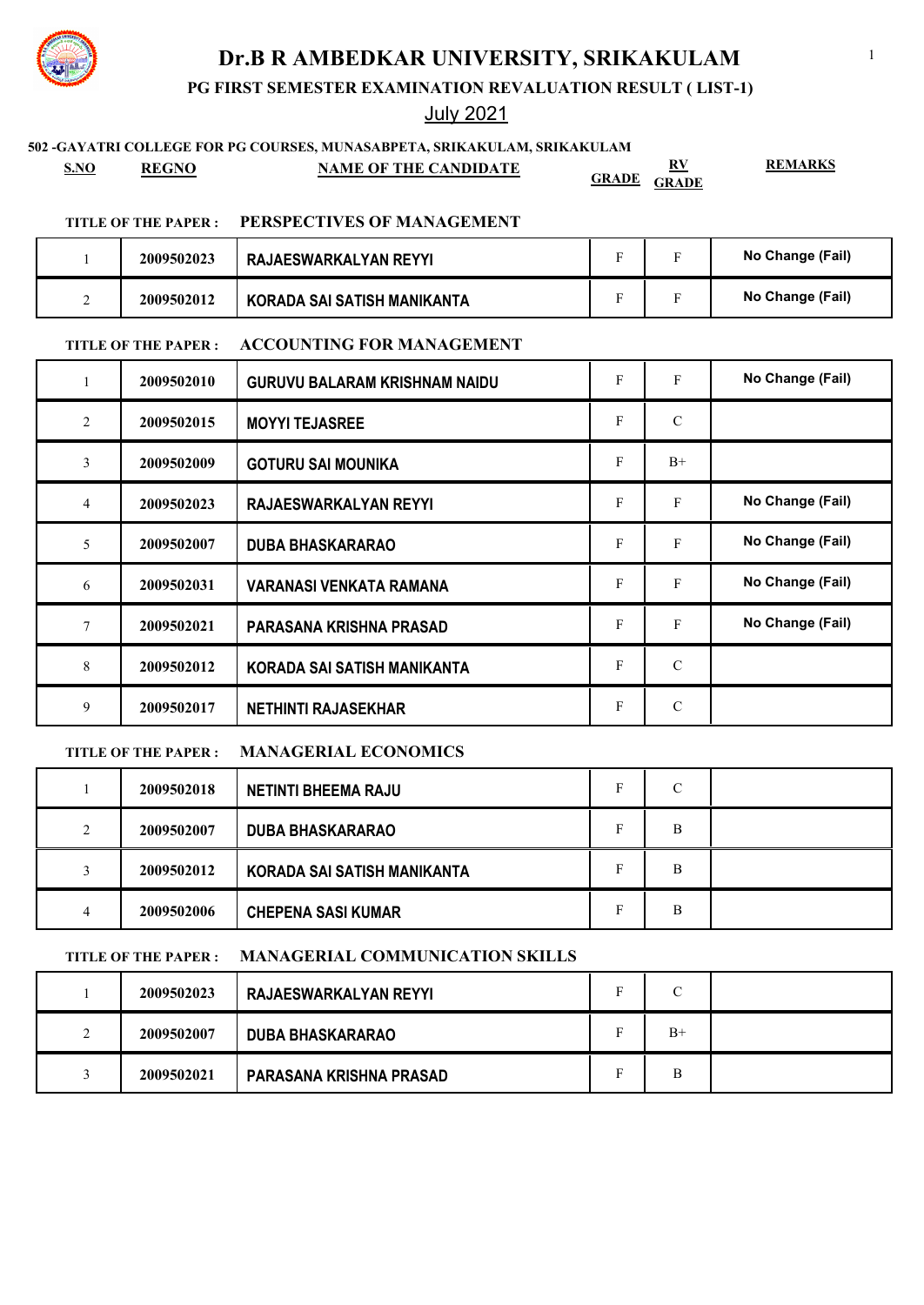**PG FIRST SEMESTER EXAMINATION REVALUATION RESULT ( LIST-1)**

## July 2021

## **502 -GAYATRI COLLEGE FOR PG COURSES, MUNASABPETA, SRIKAKULAM, SRIKAKULAM**

**S.NO REGNO NAME OF THE CANDIDATE RV GRADE GRADE**

**REMARKS**

### **TITLE OF THE PAPER : PERSPECTIVES OF MANAGEMENT**

| 2009502023 | RAJAESWARKALYAN REYYI       |  | No Change (Fail) |
|------------|-----------------------------|--|------------------|
| 2009502012 | KORADA SAI SATISH MANIKANTA |  | No Change (Fail) |

### **TITLE OF THE PAPER : ACCOUNTING FOR MANAGEMENT**

| 1              | 2009502010 | <b>GURUVU BALARAM KRISHNAM NAIDU</b> | F | F             | No Change (Fail) |
|----------------|------------|--------------------------------------|---|---------------|------------------|
| 2              | 2009502015 | <b>MOYYI TEJASREE</b>                | F | $\mathcal{C}$ |                  |
| 3              | 2009502009 | <b>GOTURU SAI MOUNIKA</b>            | F | $B+$          |                  |
| $\overline{4}$ | 2009502023 | RAJAESWARKALYAN REYYI                | F | F             | No Change (Fail) |
| 5              | 2009502007 | <b>DUBA BHASKARARAO</b>              | F | $\mathbf{F}$  | No Change (Fail) |
| 6              | 2009502031 | <b>VARANASI VENKATA RAMANA</b>       | F | F             | No Change (Fail) |
| 7              | 2009502021 | PARASANA KRISHNA PRASAD              | F | F             | No Change (Fail) |
| 8              | 2009502012 | KORADA SAI SATISH MANIKANTA          | F | $\mathcal{C}$ |                  |
| 9              | 2009502017 | <b>NETHINTI RAJASEKHAR</b>           | F | $\mathcal{C}$ |                  |

## **TITLE OF THE PAPER : MANAGERIAL ECONOMICS**

|   | 2009502018 | <b>NETINTI BHEEMA RAJU</b>  | C |  |
|---|------------|-----------------------------|---|--|
| 2 | 2009502007 | <b>DUBA BHASKARARAO</b>     | B |  |
|   | 2009502012 | KORADA SAI SATISH MANIKANTA | B |  |
| 4 | 2009502006 | <b>CHEPENA SASI KUMAR</b>   | B |  |

### **TITLE OF THE PAPER : MANAGERIAL COMMUNICATION SKILLS**

|        | 2009502023 | RAJAESWARKALYAN REYYI   | $\sqrt{ }$ |  |
|--------|------------|-------------------------|------------|--|
| ◠<br>∸ | 2009502007 | <b>DUBA BHASKARARAO</b> | $B+$       |  |
|        | 2009502021 | PARASANA KRISHNA PRASAD | B          |  |

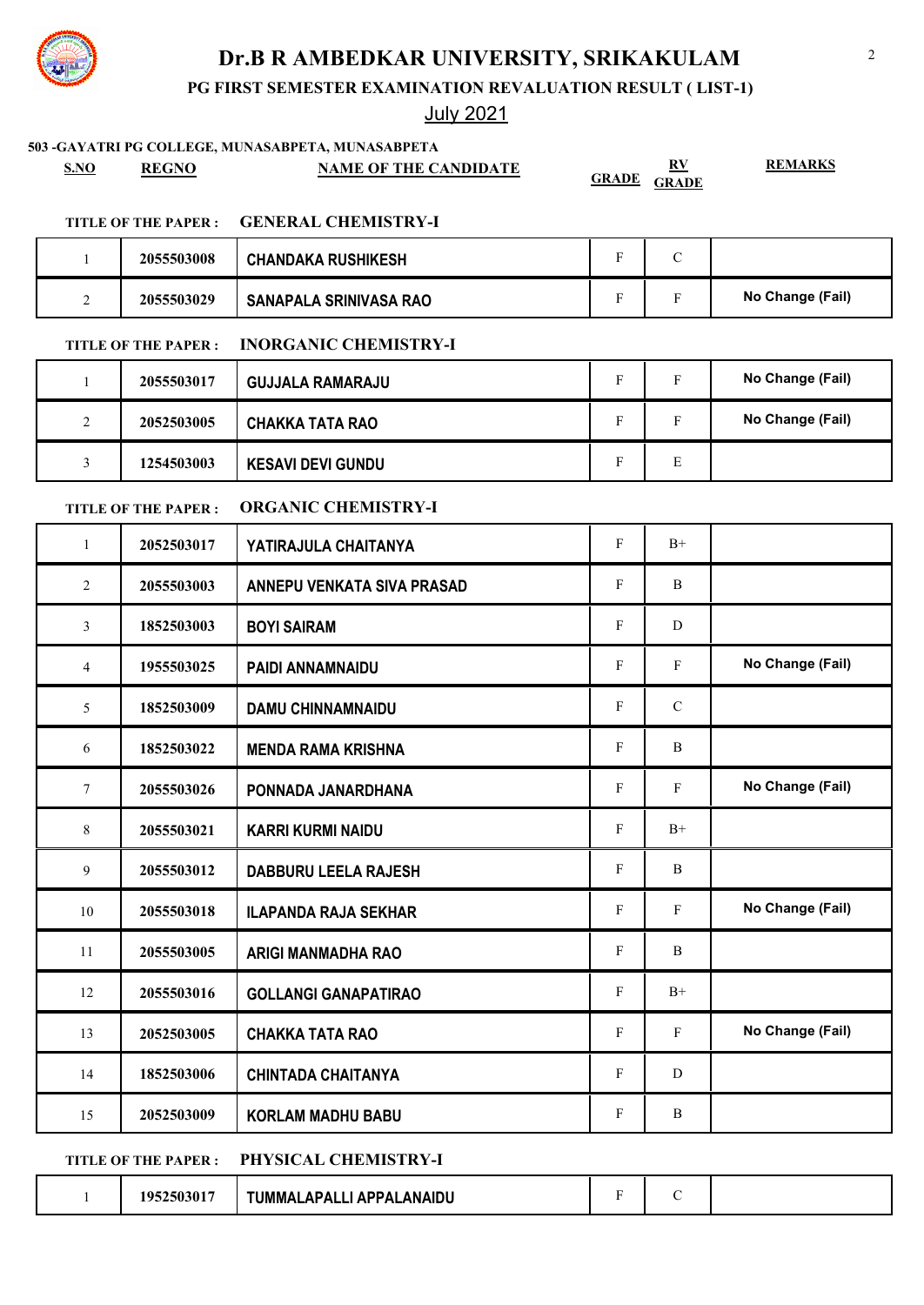

## July 2021

|                |                            | 503 - GAYATRI PG COLLEGE, MUNASABPETA, MUNASABPETA |              |                                                                |                  |
|----------------|----------------------------|----------------------------------------------------|--------------|----------------------------------------------------------------|------------------|
| <b>S.NO</b>    | <b>REGNO</b>               | <b>NAME OF THE CANDIDATE</b>                       | <b>GRADE</b> | $\underline{\mathbf{R}}\underline{\mathbf{V}}$<br><b>GRADE</b> | <b>REMARKS</b>   |
|                | <b>TITLE OF THE PAPER:</b> | <b>GENERAL CHEMISTRY-I</b>                         |              |                                                                |                  |
| 1              | 2055503008                 | <b>CHANDAKA RUSHIKESH</b>                          | F            | $\mathbf C$                                                    |                  |
| 2              | 2055503029                 | <b>SANAPALA SRINIVASA RAO</b>                      | F            | $\mathbf F$                                                    | No Change (Fail) |
|                | <b>TITLE OF THE PAPER:</b> | <b>INORGANIC CHEMISTRY-I</b>                       |              |                                                                |                  |
| $\mathbf{1}$   | 2055503017                 | <b>GUJJALA RAMARAJU</b>                            | $\mathbf F$  | F                                                              | No Change (Fail) |
| 2              | 2052503005                 | <b>CHAKKA TATA RAO</b>                             | F            | $\mathbf{F}$                                                   | No Change (Fail) |
| 3              | 1254503003                 | <b>KESAVI DEVI GUNDU</b>                           | F            | E                                                              |                  |
|                | <b>TITLE OF THE PAPER:</b> | <b>ORGANIC CHEMISTRY-I</b>                         |              |                                                                |                  |
| $\mathbf{1}$   | 2052503017                 | YATIRAJULA CHAITANYA                               | $\mathbf F$  | $B+$                                                           |                  |
| 2              | 2055503003                 | <b>ANNEPU VENKATA SIVA PRASAD</b>                  | F            | B                                                              |                  |
| 3              | 1852503003                 | <b>BOYI SAIRAM</b>                                 | $\mathbf F$  | D                                                              |                  |
| 4              | 1955503025                 | PAIDI ANNAMNAIDU                                   | F            | F                                                              | No Change (Fail) |
| 5              | 1852503009                 | <b>DAMU CHINNAMNAIDU</b>                           | F            | $\mathcal{C}$                                                  |                  |
| 6              | 1852503022                 | <b>MENDA RAMA KRISHNA</b>                          | F            | B                                                              |                  |
| $\tau$         | 2055503026                 | PONNADA JANARDHANA                                 | $\mathbf F$  | $\mathbf F$                                                    | No Change (Fail) |
| 8              | 2055503021                 | <b>KARRI KURMI NAIDU</b>                           | F            | $\mathrm{B}^{+}$                                               |                  |
| $\overline{9}$ | 2055503012                 | DABBURU LEELA RAJESH                               | F            | B                                                              |                  |
| 10             | 2055503018                 | <b>ILAPANDA RAJA SEKHAR</b>                        | F            | $\mathbf F$                                                    | No Change (Fail) |
| 11             | 2055503005                 | <b>ARIGI MANMADHA RAO</b>                          | F            | B                                                              |                  |
| 12             | 2055503016                 | <b>GOLLANGI GANAPATIRAO</b>                        | F            | $B+$                                                           |                  |
| 13             | 2052503005                 | <b>CHAKKA TATA RAO</b>                             | F            | $\mathbf{F}$                                                   | No Change (Fail) |
| 14             | 1852503006                 | <b>CHINTADA CHAITANYA</b>                          | F            | D                                                              |                  |
| 15             | 2052503009                 | <b>KORLAM MADHU BABU</b>                           | ${\bf F}$    | B                                                              |                  |
|                |                            |                                                    |              |                                                                |                  |

## **TITLE OF THE PAPER : PHYSICAL CHEMISTRY-I**

|  | 1952503017 | TUMMALAPALLI APPALANAIDU |  |  |  |  |
|--|------------|--------------------------|--|--|--|--|
|--|------------|--------------------------|--|--|--|--|





|                    | 2055503017 | <b>GUJJALA RAMARAJU</b>  |   | No Change (Fail) |
|--------------------|------------|--------------------------|---|------------------|
| $\mathcal{D}$<br>∠ | 2052503005 | <b>CHAKKA TATA RAO</b>   |   | No Change (Fail) |
|                    | 1254503003 | <b>KESAVI DEVI GUNDU</b> | E |                  |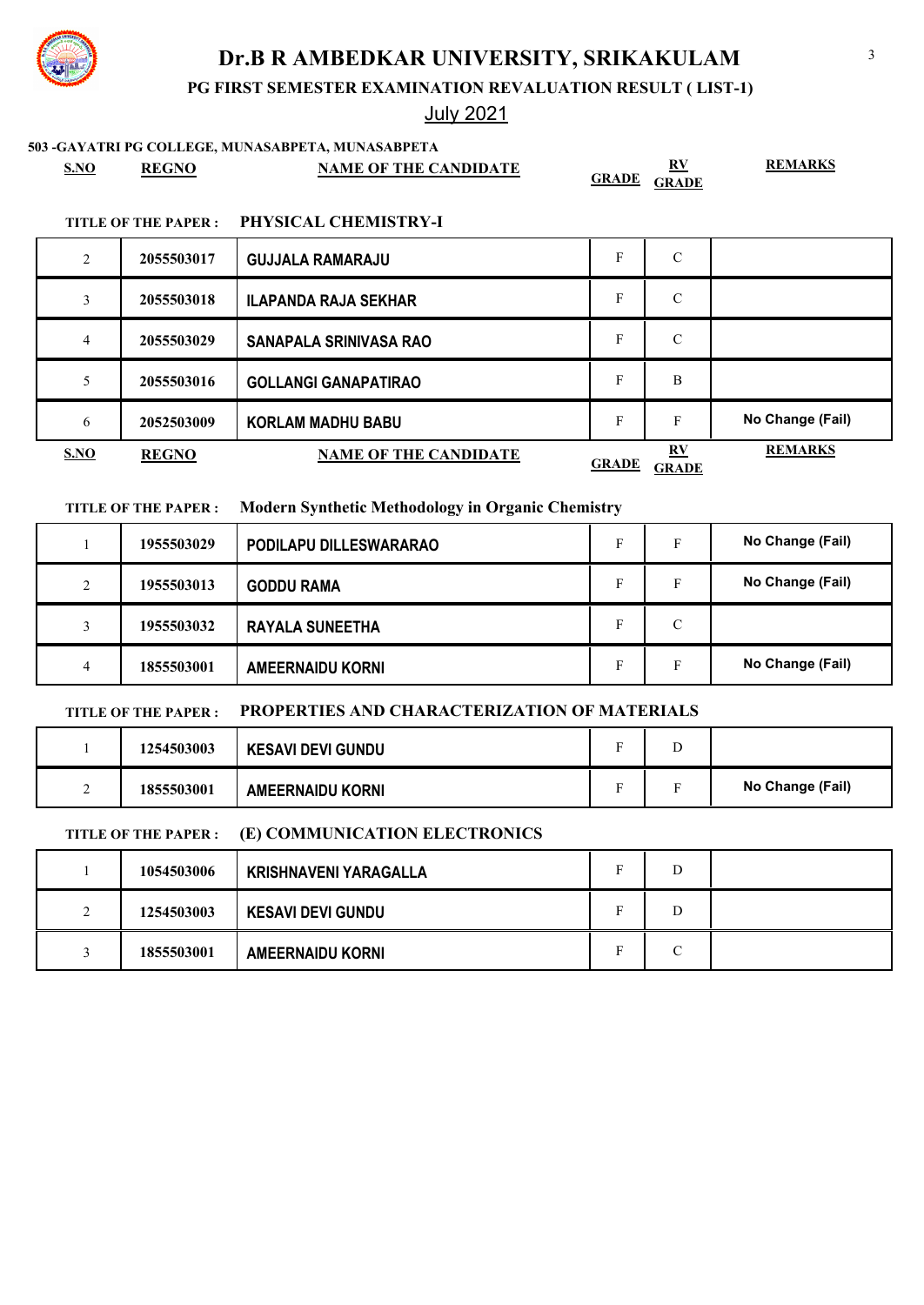**PG FIRST SEMESTER EXAMINATION REVALUATION RESULT ( LIST-1)**

## July 2021

### **503 -GAYATRI PG COLLEGE, MUNASABPETA, MUNASABPETA**

| <u>S.NO</u> | <b>REGNO</b>                                     | <b>NAME OF THE CANDIDATE</b>    | <b>GRADE</b> | RV<br><b>GRADE</b> | <b>REMARKS</b> |
|-------------|--------------------------------------------------|---------------------------------|--------------|--------------------|----------------|
|             | $m \times m \times m$ $\sim m \times m \times m$ | <b>DIIVALO LE OHEN HATOLI I</b> |              |                    |                |

### **TITLE OF THE PAPER : PHYSICAL CHEMISTRY-I**

| 2              | 2055503017   | <b>GUJJALA RAMARAJU</b>      | F            | C                                       |                  |
|----------------|--------------|------------------------------|--------------|-----------------------------------------|------------------|
|                | 2055503018   | <b>ILAPANDA RAJA SEKHAR</b>  | F            | C                                       |                  |
| $\overline{4}$ | 2055503029   | SANAPALA SRINIVASA RAO       | F            | C                                       |                  |
| 5              | 2055503016   | <b>GOLLANGI GANAPATIRAO</b>  | F            | B                                       |                  |
| 6              | 2052503009   | <b>KORLAM MADHU BABU</b>     | F            | F                                       | No Change (Fail) |
| <b>S.NO</b>    | <b>REGNO</b> | <b>NAME OF THE CANDIDATE</b> | <b>GRADE</b> | $\mathbf{R} \mathbf{V}$<br><b>GRADE</b> | <b>REMARKS</b>   |

### **TITLE OF THE PAPER : Modern Synthetic Methodology in Organic Chemistry**

|        | 1955503029 | PODILAPU DILLESWARARAO  | F  | No Change (Fail) |
|--------|------------|-------------------------|----|------------------|
| $\sim$ | 1955503013 | <b>GODDU RAMA</b>       | F  | No Change (Fail) |
|        | 1955503032 | <b>RAYALA SUNEETHA</b>  | C  |                  |
|        | 1855503001 | <b>AMEERNAIDU KORNI</b> | F. | No Change (Fail) |

### **TITLE OF THE PAPER : PROPERTIES AND CHARACTERIZATION OF MATERIALS**

|   | 1254503003 | <b>KESAVI DEVI GUNDU</b> |                |                  |
|---|------------|--------------------------|----------------|------------------|
| - | 1855503001 | <b>AMEERNAIDU KORNI</b>  | $\blacksquare$ | No Change (Fail) |

### **TITLE OF THE PAPER : (E) COMMUNICATION ELECTRONICS**

|                            | 1054503006 | <b>KRISHNAVENI YARAGALLA</b> | ∽ | D |  |
|----------------------------|------------|------------------------------|---|---|--|
| $\gamma$<br>$\overline{ }$ | 1254503003 | <b>KESAVI DEVI GUNDU</b>     | г | D |  |
|                            | 1855503001 | <b>AMEERNAIDU KORNI</b>      | P | C |  |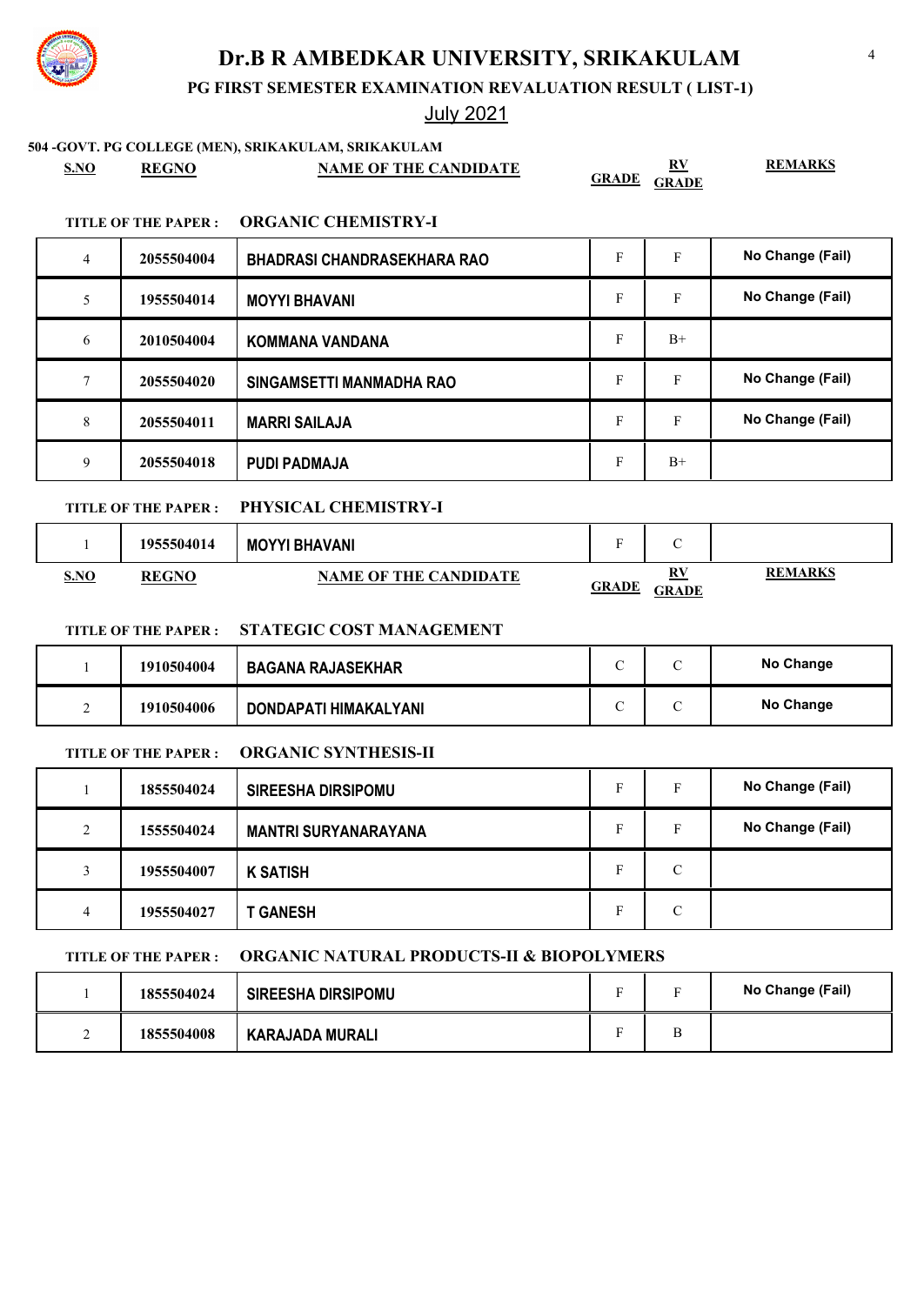**PG FIRST SEMESTER EXAMINATION REVALUATION RESULT ( LIST-1)**

## July 2021

**504 -GOVT. PG COLLEGE (MEN), SRIKAKULAM, SRIKAKULAM**

|      |              | JOY 1. FG COLLEGE (MEN), SNINANULAM, SNINANULAM |                    |
|------|--------------|-------------------------------------------------|--------------------|
| S.NO | <b>REGNO</b> | <b>NAME OF THE CANDIDATE</b>                    | <b>GRADE GRADE</b> |

### **TITLE OF THE PAPER : ORGANIC CHEMISTRY-I**

| $\overline{4}$ | 2055504004 | <b>BHADRASI CHANDRASEKHARA RAO</b> | F | F    | No Change (Fail) |
|----------------|------------|------------------------------------|---|------|------------------|
| 5              | 1955504014 | <b>MOYYI BHAVANI</b>               | F | F    | No Change (Fail) |
| 6              | 2010504004 | <b>KOMMANA VANDANA</b>             | F | $B+$ |                  |
|                |            |                                    |   |      |                  |
|                | 2055504020 | SINGAMSETTI MANMADHA RAO           | F | F    | No Change (Fail) |
| 8              | 2055504011 | <b>MARRI SAILAJA</b>               | F | F    | No Change (Fail) |

## **TITLE OF THE PAPER : PHYSICAL CHEMISTRY-I**

|             | 1955504014   | <b>MOYYI BHAVANI</b>         | ÷            | $\overline{\phantom{0}}$<br>◡ |                |
|-------------|--------------|------------------------------|--------------|-------------------------------|----------------|
| <b>S.NO</b> | <b>REGNO</b> | <b>NAME OF THE CANDIDATE</b> | <u>GRADE</u> | RV<br><b>GRADE</b>            | <b>REMARKS</b> |

## **TITLE OF THE PAPER : STATEGIC COST MANAGEMENT**

|   | 1910504004 | <b>BAGANA RAJASEKHAR</b> |  | No Change        |
|---|------------|--------------------------|--|------------------|
| - | 1910504006 | DONDAPATI HIMAKALYANI    |  | <b>No Change</b> |

### **TITLE OF THE PAPER : ORGANIC SYNTHESIS-II**

|                    | 1855504024 | <b>SIREESHA DIRSIPOMU</b>   | Е | Е             | No Change (Fail) |
|--------------------|------------|-----------------------------|---|---------------|------------------|
| $\mathcal{L}$<br>∠ | 1555504024 | <b>MANTRI SURYANARAYANA</b> | E | Е             | No Change (Fail) |
| 3                  | 1955504007 | <b>K SATISH</b>             | Е | $\mathcal{C}$ |                  |
| 4                  | 1955504027 | <b>GANESH</b>               | Е | С             |                  |

### **TITLE OF THE PAPER : ORGANIC NATURAL PRODUCTS-II & BIOPOLYMERS**

|   | 1855504024 | <b>SIREESHA DIRSIPOMU</b> | $\overline{\phantom{0}}$ | $\blacksquare$ | No Change (Fail) |
|---|------------|---------------------------|--------------------------|----------------|------------------|
| - | 1855504008 | KARAJADA MURALI           |                          |                |                  |



**REMARKS**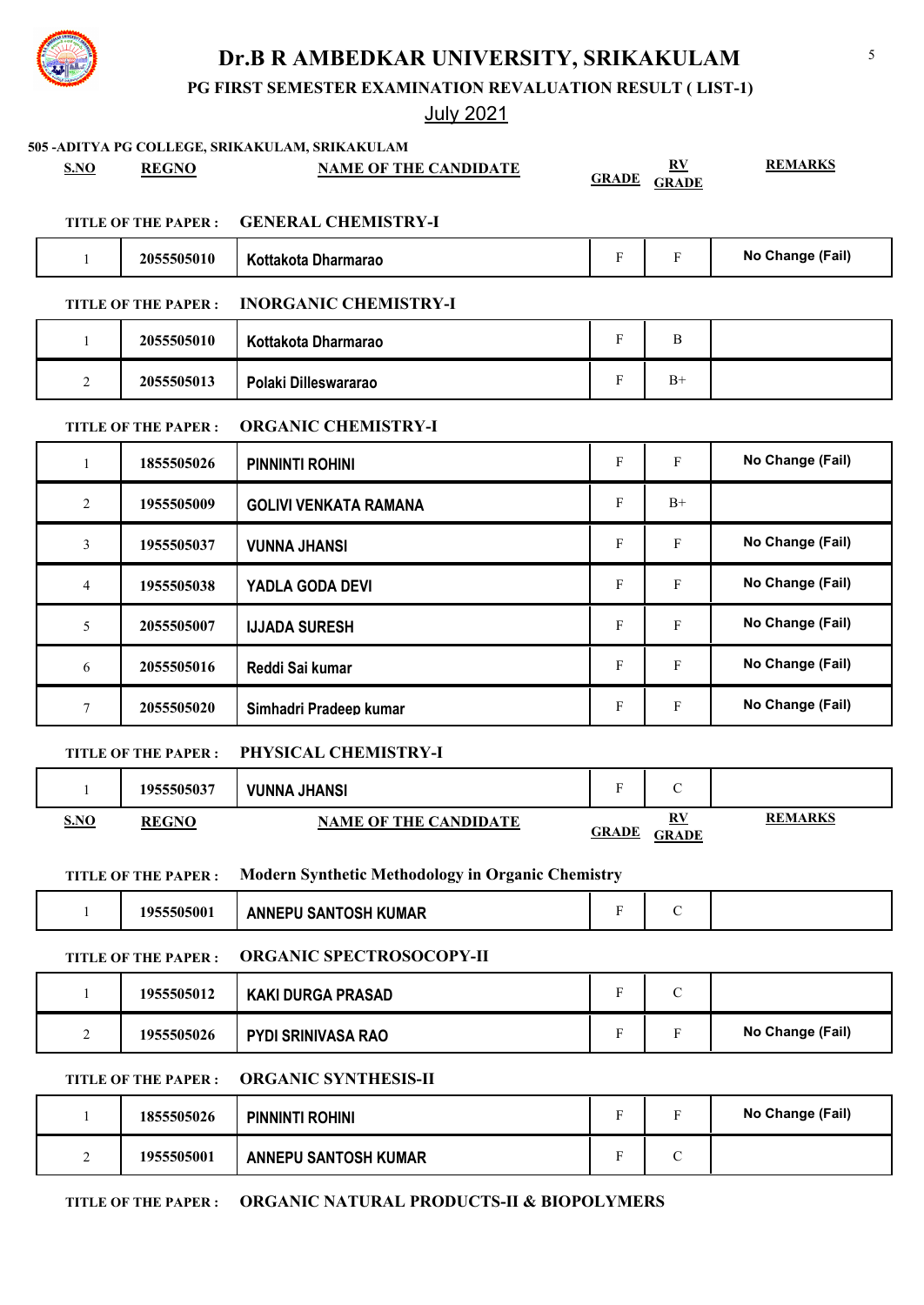

5

**PG FIRST SEMESTER EXAMINATION REVALUATION RESULT ( LIST-1)**

## July 2021

**505 -ADITYA PG COLLEGE, SRIKAKULAM, SRIKAKULAM S.NO REGNO NAME OF THE CANDIDATE RV GRADE GRADE REMARKS TITLE OF THE PAPER : GENERAL CHEMISTRY-I** 1 **2055505010 | Kottakota Dharmarao F | F | No Change (Fail) TITLE OF THE PAPER : INORGANIC CHEMISTRY-I** 1 **2055505010 Kottakota Dharmarao** F B 2 **2055505013 Polaki Dilleswararao** F B+ **TITLE OF THE PAPER : ORGANIC CHEMISTRY-I** 1 **1855505026 PINNINTI ROHINI Transfer F F All PINNINTI ROHINI F** F No Change (Fail) 2 **1955505009 GOLIVI VENKATA RAMANA** F B+ 3 **1955505037 | VUNNA JHANSI Transfer Constructs Transfer Constructs Transfer Constructs Transfer Constructs Transfer Constructs Transfer Constructs Transfer Constructs Transfer Constructs Transfer Constructs Transfer Co** 4 **1955505038 | YADLA GODA DEVI TELL REVILLED ASSESS TO A REVILLED ASSESS OF A REVILLED ASSESSMENT POINT OF A REVILLED ASSESSMENT POINT POINT POINT POINT POINT POINT POINT POINT POINT POINT POINT POINT POINT POINT POINT**  5 **2055505007 IJJADA SURESH** F F **No Change (Fail)** 6 **2055505016 Reddi Sai kumar And American Constant Constant Party American Property Reddi Sai kumar American Constant Property Reddi Sai kumar** 7 **2055505020 Simhadri Pradeep kumar F F F No Change (Fail) TITLE OF THE PAPER : PHYSICAL CHEMISTRY-I** 1 **1955505037 VUNNA JHANSI Terminal State of State of State of State of State of State of State of State of State of State of State of State of State of State of State of State of State of State of State of State of Stat S.NO REGNO NAME OF THE CANDIDATE RV GRADE GRADE REMARKS TITLE OF THE PAPER : Modern Synthetic Methodology in Organic Chemistry** 1 **1955505001 ANNEPU SANTOSH KUMAR** F G **TITLE OF THE PAPER : ORGANIC SPECTROSOCOPY-II** 1 **1955505012 | KAKI DURGA PRASAD F F C** 2 **1955505026 PYDI SRINIVASA RAO** F F No Change (Fail) **TITLE OF THE PAPER : ORGANIC SYNTHESIS-II** 1 **1855505026 PINNINTI ROHINI CONSERVANTI COMPONENT TO PINE REPORT OF REAL PROPERTY ROHINI** 2 **1955505001 ANNEPU SANTOSH KUMAR** F F C **TITLE OF THE PAPER : ORGANIC NATURAL PRODUCTS-II & BIOPOLYMERS**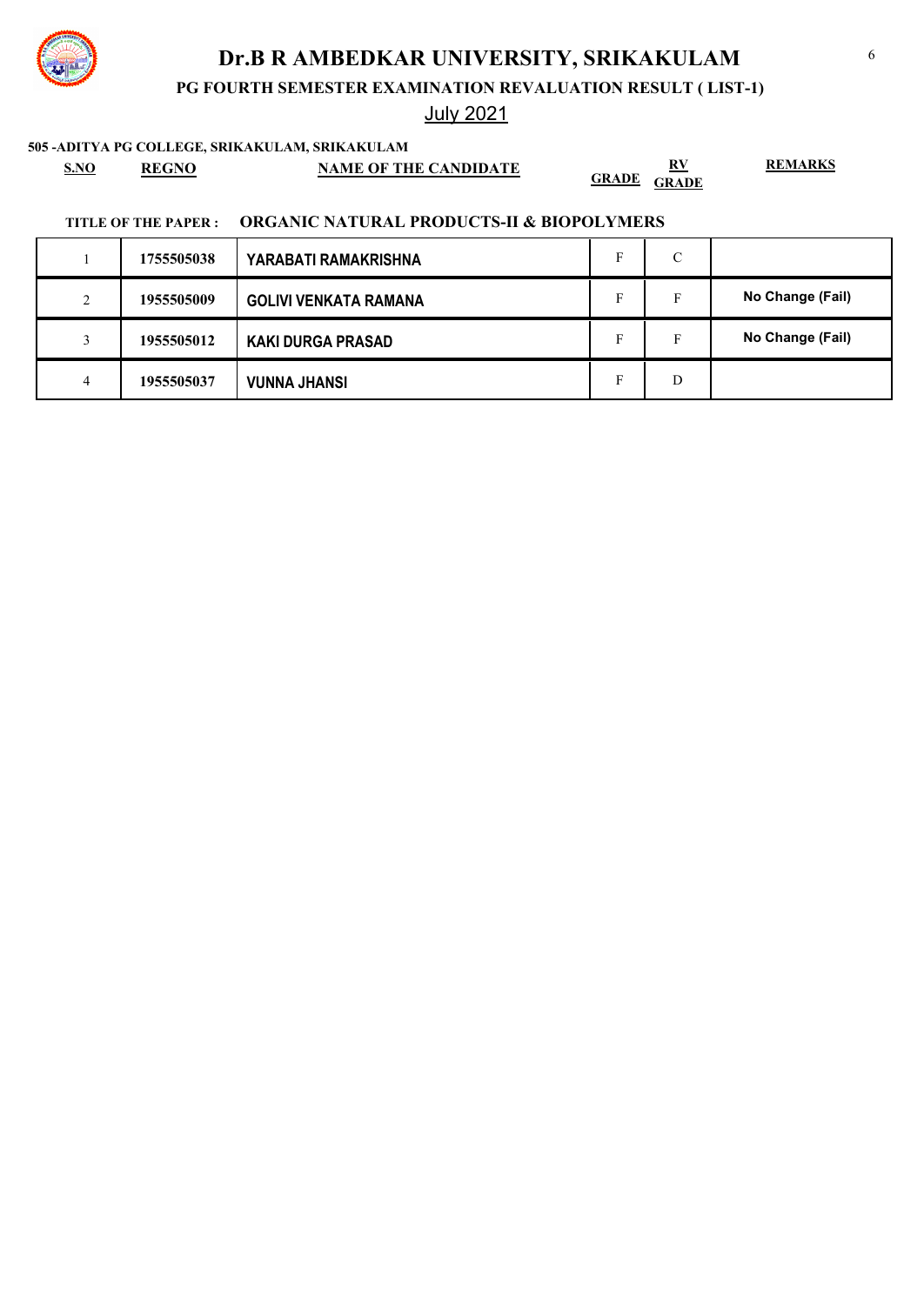**PG FOURTH SEMESTER EXAMINATION REVALUATION RESULT ( LIST-1)**

## July 2021

**505 -ADITYA PG COLLEGE, SRIKAKULAM, SRIKAKULAM**

**S.NO REGNO NAME OF THE CANDIDATE RV GRADE GRADE** **REMARKS**

### **TITLE OF THE PAPER : ORGANIC NATURAL PRODUCTS-II & BIOPOLYMERS**

|        | 1755505038 | YARABATI RAMAKRISHNA         | C  |                  |
|--------|------------|------------------------------|----|------------------|
| ∍<br>∠ | 1955505009 | <b>GOLIVI VENKATA RAMANA</b> | F  | No Change (Fail) |
|        | 1955505012 | <b>KAKI DURGA PRASAD</b>     | F. | No Change (Fail) |
| 4      | 1955505037 | <b>VUNNA JHANSI</b>          | D  |                  |

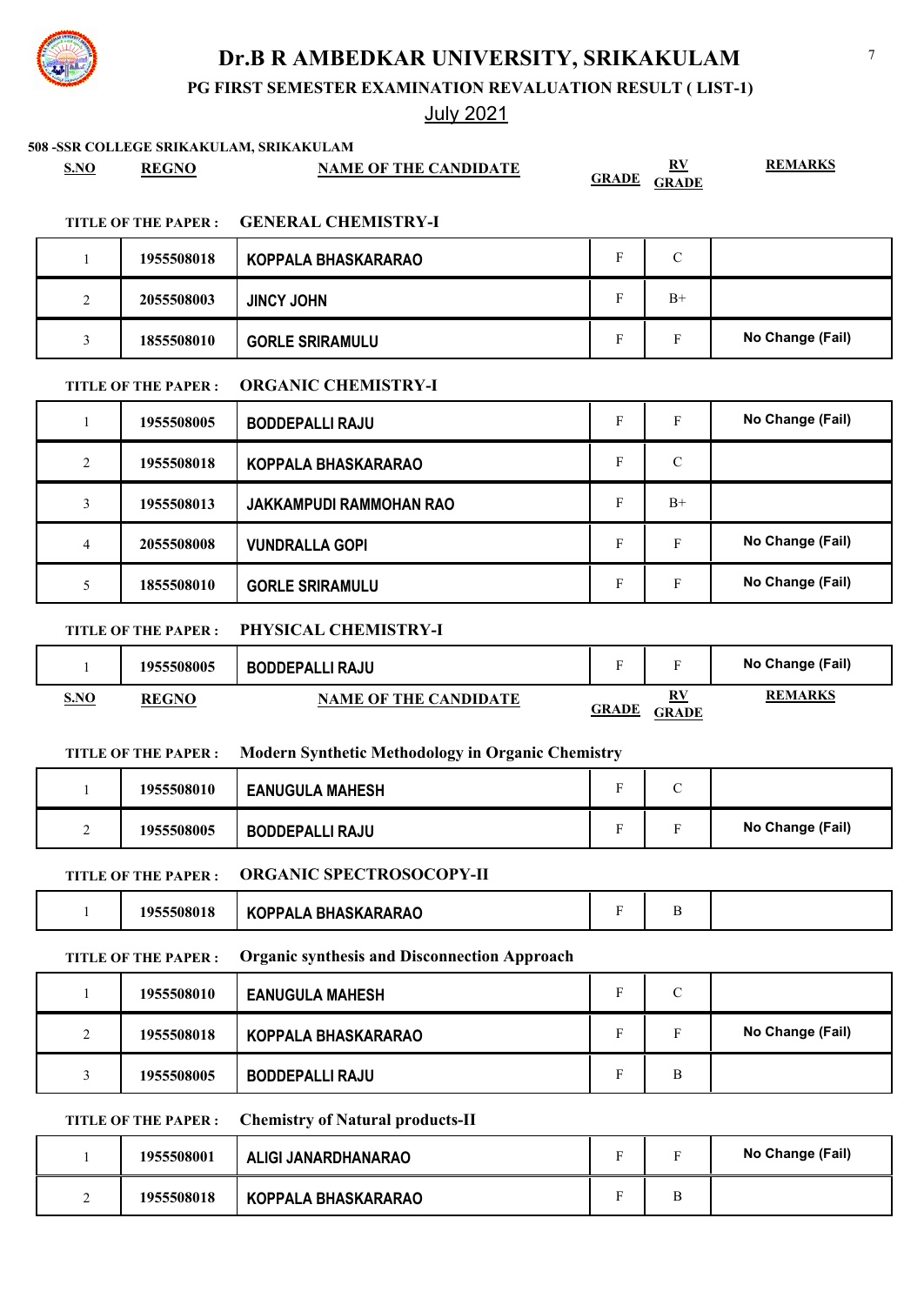**PG FIRST SEMESTER EXAMINATION REVALUATION RESULT ( LIST-1)**

| S.NO           | <b>REGNO</b>               | 508 -SSR COLLEGE SRIKAKULAM, SRIKAKULAM<br><b>NAME OF THE CANDIDATE</b> | <b>GRADE</b>              | $\underline{\mathbf{R}}\underline{\mathbf{V}}$<br><b>GRADE</b> | <b>REMARKS</b>   |
|----------------|----------------------------|-------------------------------------------------------------------------|---------------------------|----------------------------------------------------------------|------------------|
|                | <b>TITLE OF THE PAPER:</b> | <b>GENERAL CHEMISTRY-I</b>                                              |                           |                                                                |                  |
| 1              | 1955508018                 | <b>KOPPALA BHASKARARAO</b>                                              | $\boldsymbol{\mathrm{F}}$ | $\mathcal{C}$                                                  |                  |
| 2              | 2055508003                 | <b>JINCY JOHN</b>                                                       | F                         | $B+$                                                           |                  |
| 3              | 1855508010                 | <b>GORLE SRIRAMULU</b>                                                  | F                         | F                                                              | No Change (Fail) |
|                | <b>TITLE OF THE PAPER:</b> | <b>ORGANIC CHEMISTRY-I</b>                                              |                           |                                                                |                  |
| 1              | 1955508005                 | <b>BODDEPALLI RAJU</b>                                                  | $\boldsymbol{\mathrm{F}}$ | F                                                              | No Change (Fail) |
| 2              | 1955508018                 | <b>KOPPALA BHASKARARAO</b>                                              | F                         | $\mathcal{C}$                                                  |                  |
| 3              | 1955508013                 | <b>JAKKAMPUDI RAMMOHAN RAO</b>                                          | $\mathbf{F}$              | $B+$                                                           |                  |
| $\overline{4}$ | 2055508008                 | <b>VUNDRALLA GOPI</b>                                                   | F                         | F                                                              | No Change (Fail) |
| 5              | 1855508010                 | <b>GORLE SRIRAMULU</b>                                                  | $\boldsymbol{\mathrm{F}}$ | F                                                              | No Change (Fail) |
|                | <b>TITLE OF THE PAPER:</b> | PHYSICAL CHEMISTRY-I                                                    |                           |                                                                |                  |
| 1              | 1955508005                 | <b>BODDEPALLI RAJU</b>                                                  | F                         | F                                                              | No Change (Fail) |
| <b>S.NO</b>    | <b>REGNO</b>               | <b>NAME OF THE CANDIDATE</b>                                            | <b>GRADE</b>              | $\underline{RV}$<br><b>GRADE</b>                               | <b>REMARKS</b>   |
|                | <b>TITLE OF THE PAPER:</b> | <b>Modern Synthetic Methodology in Organic Chemistry</b>                |                           |                                                                |                  |
| 1              | 1955508010                 | <b>EANUGULA MAHESH</b>                                                  | F                         | $\mathbf C$                                                    |                  |
| 2              | 1955508005                 | <b>BODDEPALLI RAJU</b>                                                  | F                         | $\mathbf F$                                                    | No Change (Fail) |
|                | <b>TITLE OF THE PAPER:</b> | <b>ORGANIC SPECTROSOCOPY-II</b>                                         |                           |                                                                |                  |
| $\mathbf{1}$   | 1955508018                 | <b>KOPPALA BHASKARARAO</b>                                              | $\boldsymbol{\mathrm{F}}$ | B                                                              |                  |
|                | TITLE OF THE PAPER :       | <b>Organic synthesis and Disconnection Approach</b>                     |                           |                                                                |                  |
| 1              | 1955508010                 | <b>EANUGULA MAHESH</b>                                                  | F                         | $\mathcal{C}$                                                  |                  |
| 2              | 1955508018                 | KOPPALA BHASKARARAO                                                     | F                         | F                                                              | No Change (Fail) |
| 3              | 1955508005                 | <b>BODDEPALLI RAJU</b>                                                  | F                         | B                                                              |                  |
|                | TITLE OF THE PAPER :       | <b>Chemistry of Natural products-II</b>                                 |                           |                                                                |                  |
|                |                            |                                                                         |                           |                                                                |                  |

|   | 1955508001 | ALIGI JANARDHANARAO |  | No Change (Fail) |
|---|------------|---------------------|--|------------------|
| ∽ | 1955508018 | KOPPALA BHASKARARAO |  |                  |

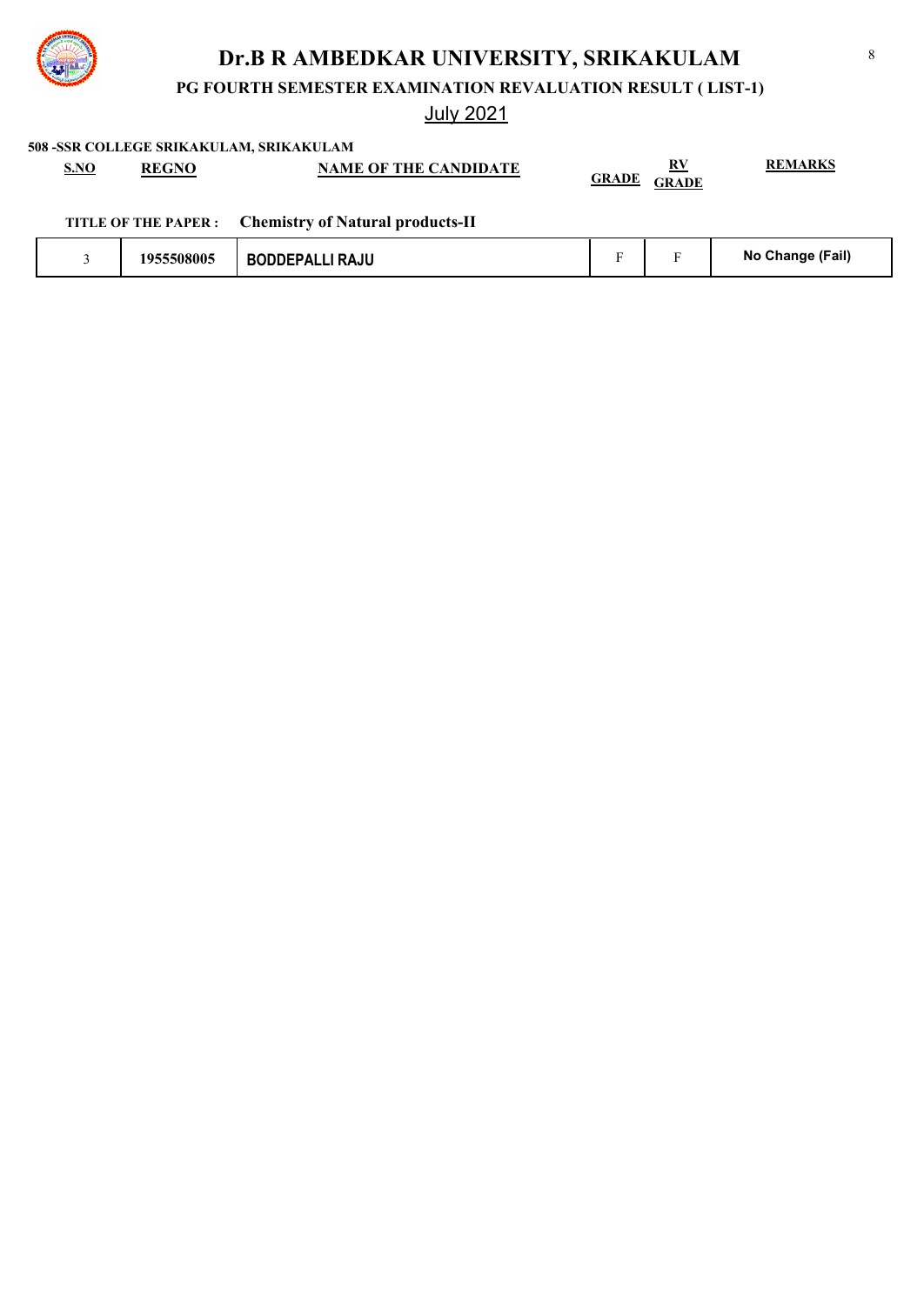

**PG FOURTH SEMESTER EXAMINATION REVALUATION RESULT ( LIST-1)**

July 2021

**508 -SSR COLLEGE SRIKAKULAM, SRIKAKULAM**

| <b>S.NO</b> | <b>REGNO</b> | <b>NAME OF THE CANDIDATE</b>                          | <b>GRADE</b> | RV<br><b>GRADE</b> | <b>REMARKS</b>   |
|-------------|--------------|-------------------------------------------------------|--------------|--------------------|------------------|
|             |              | TITLE OF THE PAPER : Chemistry of Natural products-II |              |                    |                  |
|             | 1955508005   | <b>BODDEPALLI RAJU</b>                                | Е            | Е                  | No Change (Fail) |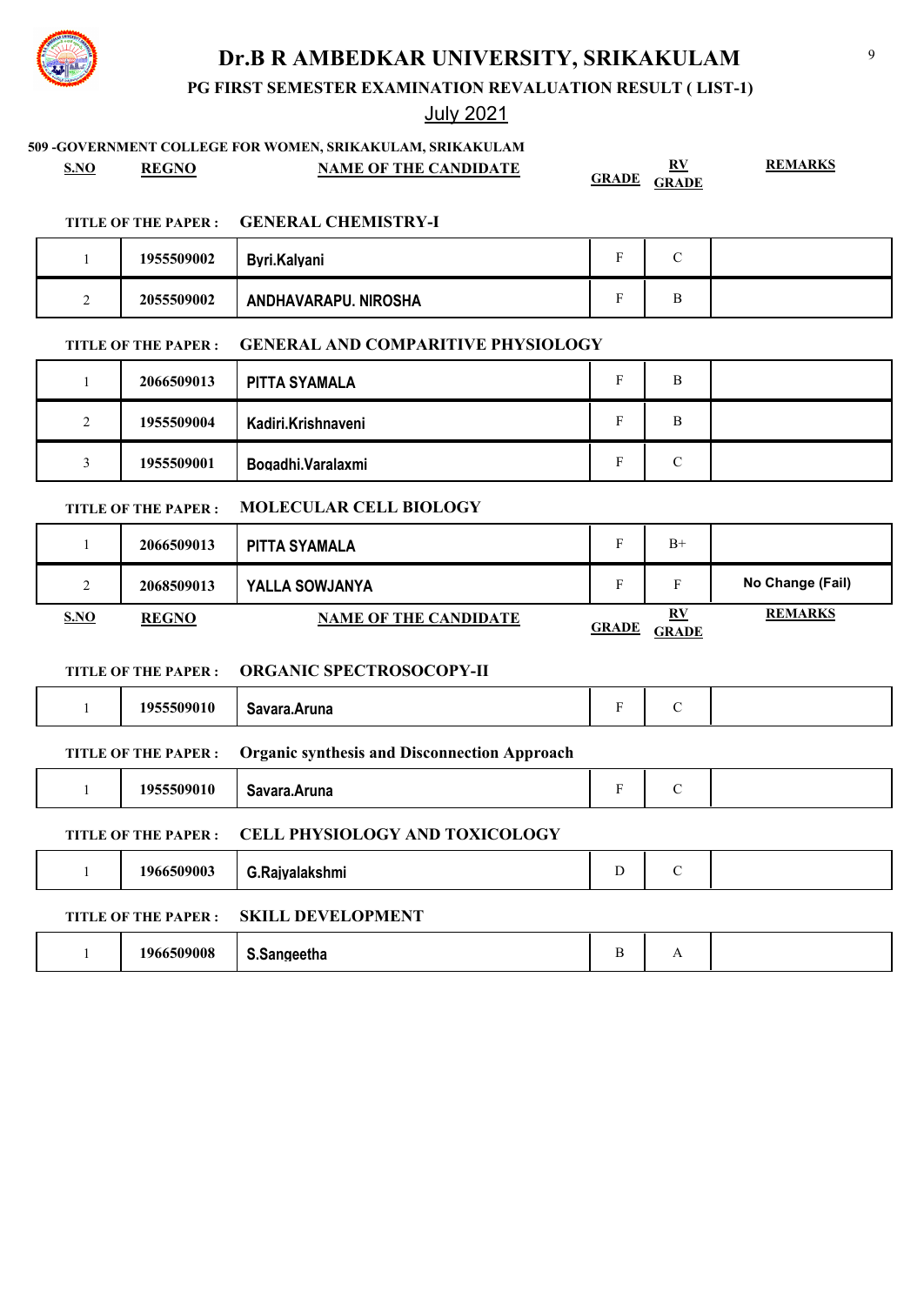**PG FIRST SEMESTER EXAMINATION REVALUATION RESULT ( LIST-1)**

## July 2021

## **509 -GOVERNMENT COLLEGE FOR WOMEN, SRIKAKULAM, SRIKAKULAM**

**S.NO REGNO NAME OF THE CANDIDATE RV** 

**GRADE GRADE**

**REMARKS**

### **TITLE OF THE PAPER : GENERAL CHEMISTRY-I**

|   | 1955509002 | Byri.Kalyani         | ◟.     |  |
|---|------------|----------------------|--------|--|
| ∸ | 2055509002 | ANDHAVARAPU. NIROSHA | Ð<br>◡ |  |

## **TITLE OF THE PAPER : GENERAL AND COMPARITIVE PHYSIOLOGY**

|        | 2066509013 | PITTA SYAMALA      | B               |  |
|--------|------------|--------------------|-----------------|--|
| ◠<br>∸ | 1955509004 | Kadiri.Krishnaveni | в               |  |
|        | 1955509001 | Bogadhi.Varalaxmi  | $\sqrt{ }$<br>◡ |  |

## **TITLE OF THE PAPER : MOLECULAR CELL BIOLOGY**

|             | 2066509013   | PITTA SYAMALA                |              | $B+$                                    |                  |
|-------------|--------------|------------------------------|--------------|-----------------------------------------|------------------|
| $\sim$<br>∸ | 2068509013   | <b>YALLA SOWJANYA</b>        |              | Е                                       | No Change (Fail) |
| S.NO        | <b>REGNO</b> | <b>NAME OF THE CANDIDATE</b> | <b>GRADE</b> | $\mathbf{R} \mathbf{V}$<br><b>GRADE</b> | <b>REMARKS</b>   |

### **TITLE OF THE PAPER : ORGANIC SPECTROSOCOPY-II**

|                                                                                   | 1955509010                                                          | Savara.Aruna   | F | $\mathcal{C}$ |  |  |  |  |
|-----------------------------------------------------------------------------------|---------------------------------------------------------------------|----------------|---|---------------|--|--|--|--|
| <b>Organic synthesis and Disconnection Approach</b><br><b>TITLE OF THE PAPER:</b> |                                                                     |                |   |               |  |  |  |  |
|                                                                                   | 1955509010                                                          | Savara.Aruna   | F | $\mathcal{C}$ |  |  |  |  |
|                                                                                   | <b>CELL PHYSIOLOGY AND TOXICOLOGY</b><br><b>TITLE OF THE PAPER:</b> |                |   |               |  |  |  |  |
|                                                                                   | 1966509003                                                          | G.Raivalakshmi | D | $\mathcal{C}$ |  |  |  |  |
|                                                                                   | <b>SKILL DEVELOPMENT</b><br><b>TITLE OF THE PAPER:</b>              |                |   |               |  |  |  |  |
|                                                                                   | 1966509008                                                          | S.Sangeetha    | B | А             |  |  |  |  |

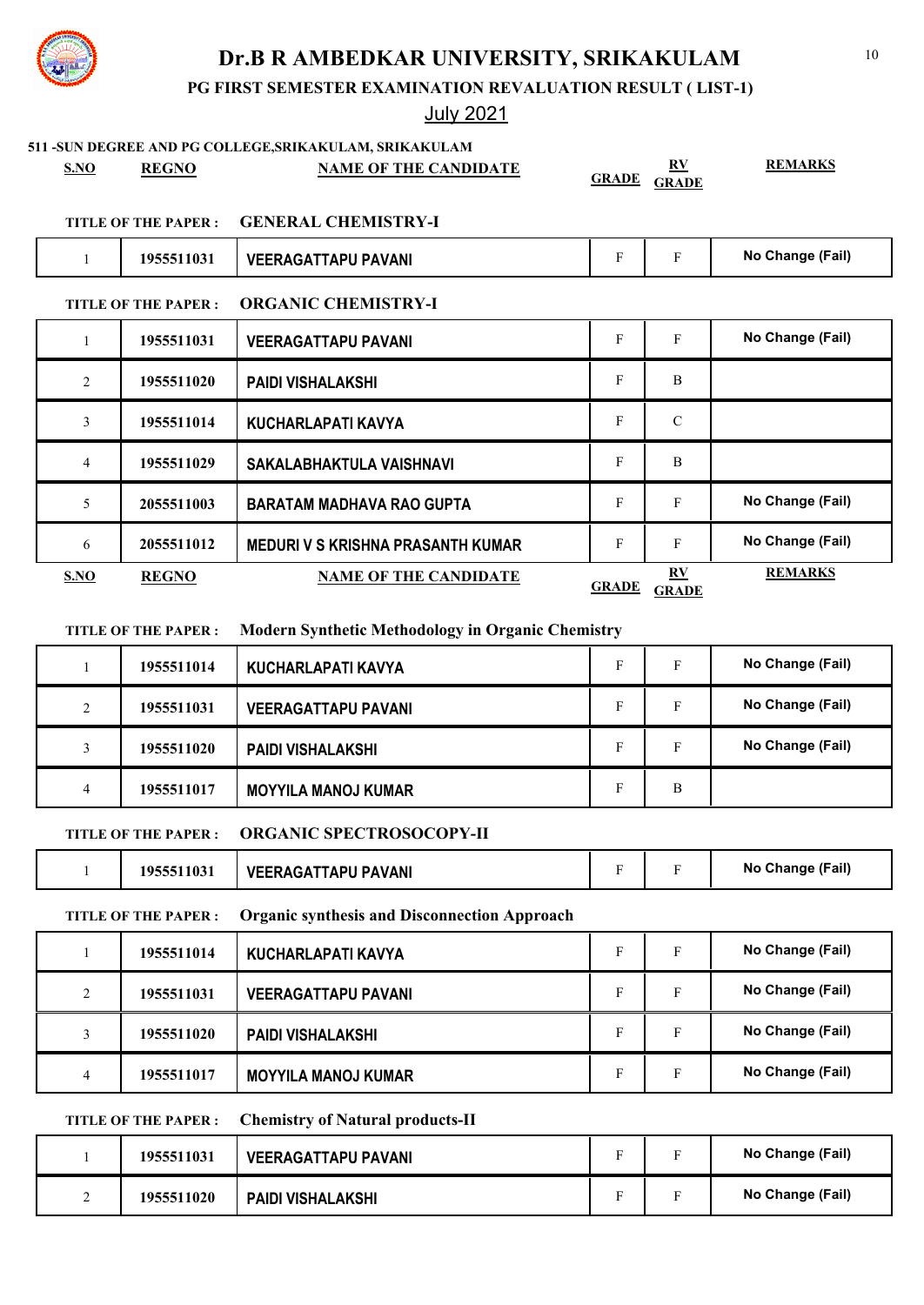**PG FIRST SEMESTER EXAMINATION REVALUATION RESULT ( LIST-1)**

## July 2021

# **511 -SUN DEGREE AND PG COLLEGE,SRIKAKULAM, SRIKAKULAM S.NO REGNO NAME OF THE CANDIDATE RV GRADE GRADE REMARKS TITLE OF THE PAPER : GENERAL CHEMISTRY-I** 1 **1955511031 | VEERAGATTAPU PAVANI THE REASE READING THE READING THE READING CHANGE (Fail) TITLE OF THE PAPER : ORGANIC CHEMISTRY-I** 1 **1955511031 | VEERAGATTAPU PAVANI THE REASE READING THE READING THE READING CHANGE (Fail)** 2 **1955511020 PAIDI VISHALAKSHI** F B 3 **1955511014 KUCHARLAPATI KAVYA** F C 4 **1955511029 SAKALABHAKTULA VAISHNAVI** F B 5 **2055511003 BARATAM MADHAVA RAO GUPTA** F F F No Change (Fail) 6 **2055511012 MEDURI V S KRISHNA PRASANTH KUMAR** F F F No Change (Fail) **S.NO REGNO NAME OF THE CANDIDATE RV GRADE GRADE REMARKS**

### **TITLE OF THE PAPER : Modern Synthetic Methodology in Organic Chemistry**

|   | 1955511014 | KUCHARLAPATI KAVYA         | E | г | No Change (Fail) |
|---|------------|----------------------------|---|---|------------------|
|   | 1955511031 | <b>VEERAGATTAPU PAVANI</b> |   |   | No Change (Fail) |
|   | 1955511020 | <b>PAIDI VISHALAKSHI</b>   |   | Е | No Change (Fail) |
| 4 | 1955511017 | <b>MOYYILA MANOJ KUMAR</b> |   | В |                  |

### **TITLE OF THE PAPER : ORGANIC SPECTROSOCOPY-II**

|  | 1955511031 | <b>VEERAGATTAPU PAVANI</b> |  |  | No Change (Fail) |
|--|------------|----------------------------|--|--|------------------|
|--|------------|----------------------------|--|--|------------------|

**TITLE OF THE PAPER : Organic synthesis and Disconnection Approach**

|   | 1955511014 | KUCHARLAPATI KAVYA         | F | No Change (Fail) |
|---|------------|----------------------------|---|------------------|
|   | 1955511031 | <b>VEERAGATTAPU PAVANI</b> | F | No Change (Fail) |
|   | 1955511020 | <b>PAIDI VISHALAKSHI</b>   | F | No Change (Fail) |
| 4 | 1955511017 | <b>MOYYILA MANOJ KUMAR</b> | F | No Change (Fail) |

### **TITLE OF THE PAPER : Chemistry of Natural products-II**

| 1955511031 | <b>VEERAGATTAPU PAVANI</b> |                          |              | No Change (Fail) |
|------------|----------------------------|--------------------------|--------------|------------------|
| 1955511020 | PAIDI VISHALAKSHI          | $\overline{\phantom{0}}$ | $\mathbf{r}$ | No Change (Fail) |



## 10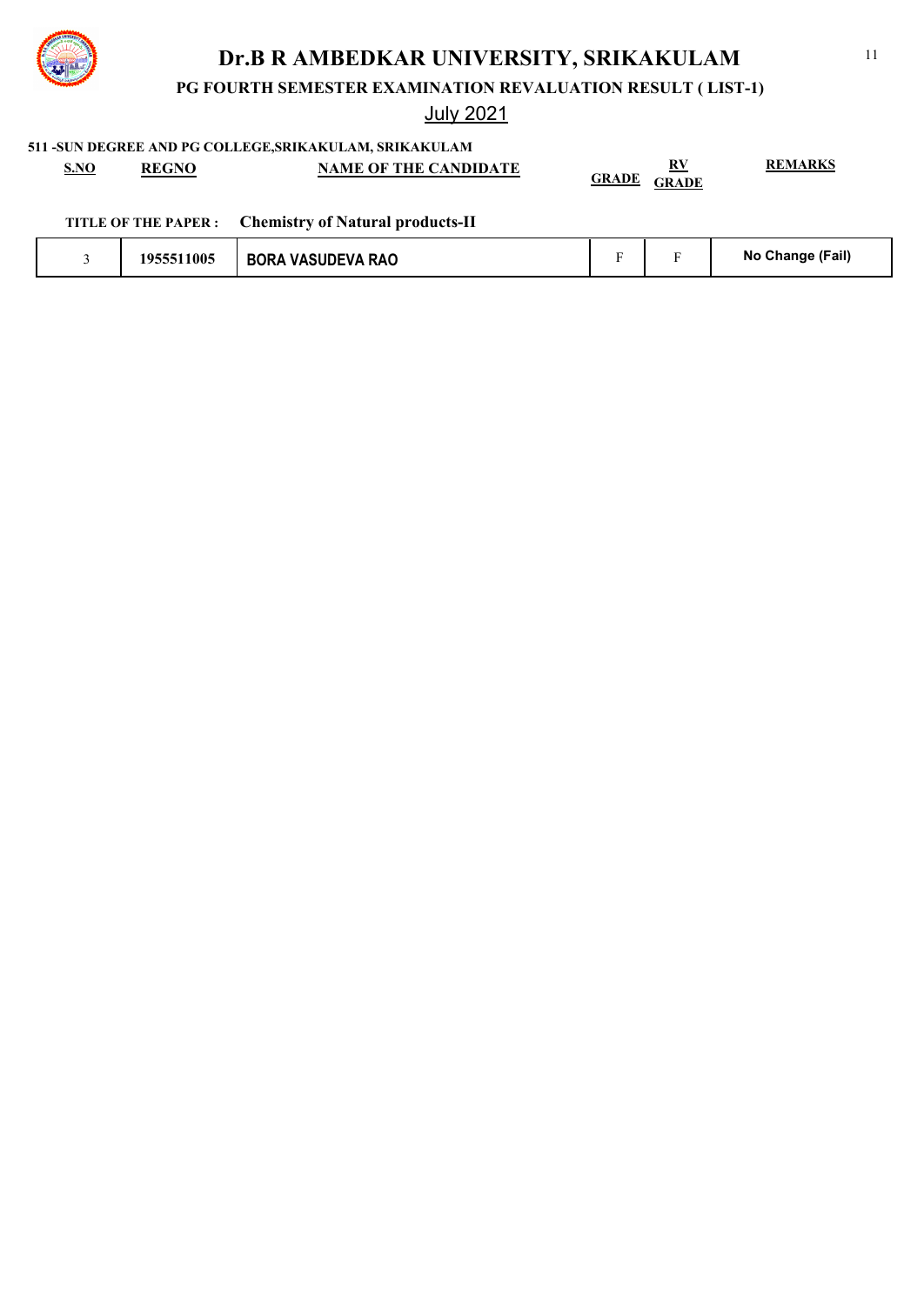

**PG FOURTH SEMESTER EXAMINATION REVALUATION RESULT ( LIST-1)**

July 2021

**511 -SUN DEGREE AND PG COLLEGE,SRIKAKULAM, SRIKAKULAM**

| S.NO | <b>REGNO</b> | <b>NAME OF THE CANDIDATE</b>                          | <b>GRADE</b> | RV<br><b>GRADE</b> | <b>REMARKS</b> |
|------|--------------|-------------------------------------------------------|--------------|--------------------|----------------|
|      |              | TITLE OF THE PAPER : Chemistry of Natural products-II |              |                    |                |
|      |              |                                                       |              |                    |                |

|  | 1955511005 | <b>BORA VASUDEVA RAO</b> |  |  | (Fail)<br>No Change |
|--|------------|--------------------------|--|--|---------------------|
|--|------------|--------------------------|--|--|---------------------|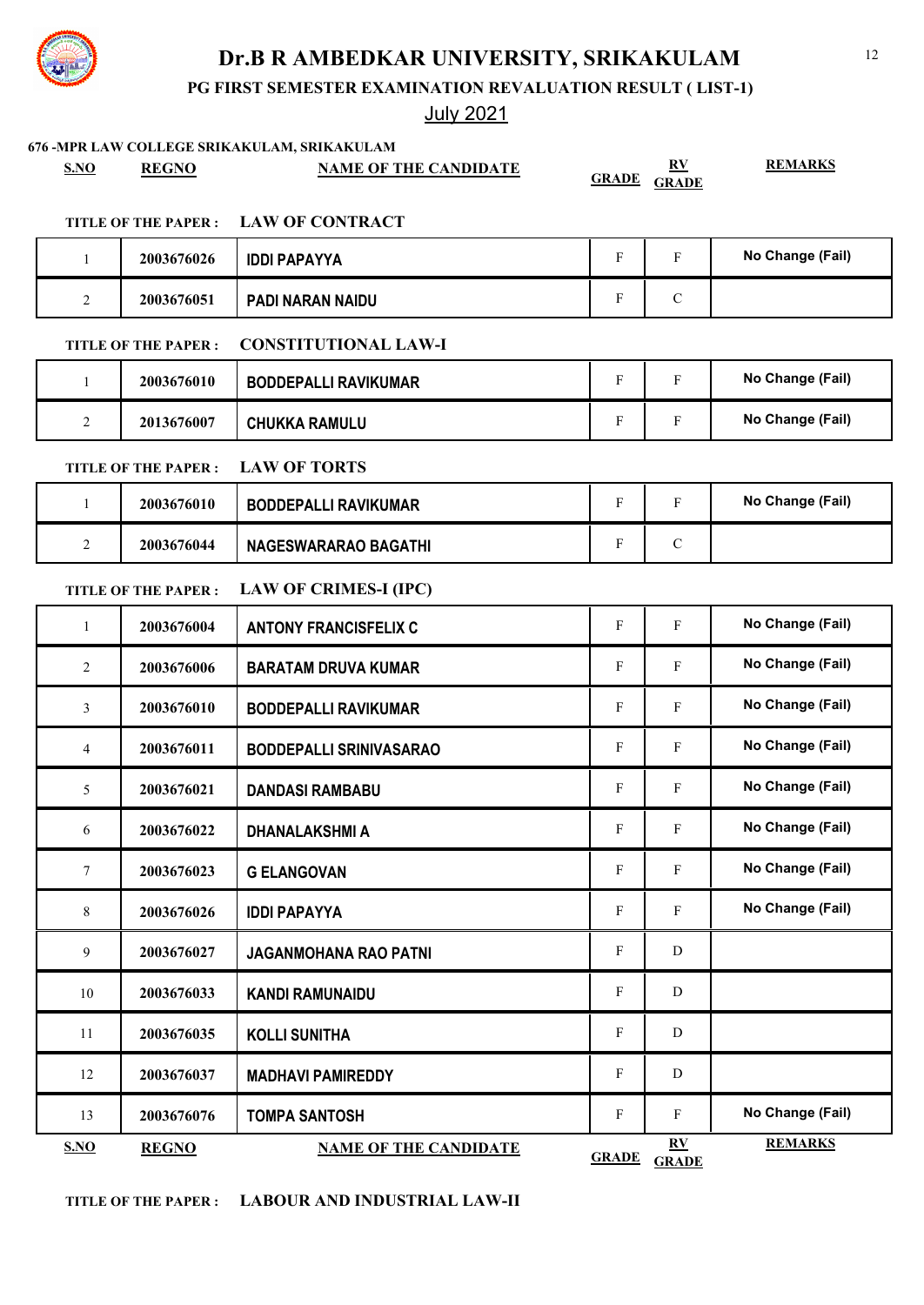**PG FIRST SEMESTER EXAMINATION REVALUATION RESULT ( LIST-1)**

|              |                            | 676 - MPR LAW COLLEGE SRIKAKULAM, SRIKAKULAM |                           |                                  |                  |
|--------------|----------------------------|----------------------------------------------|---------------------------|----------------------------------|------------------|
| S.NO         | <b>REGNO</b>               | <b>NAME OF THE CANDIDATE</b>                 | <b>GRADE</b>              | $\underline{RV}$<br><b>GRADE</b> | <b>REMARKS</b>   |
|              | <b>TITLE OF THE PAPER:</b> | <b>LAW OF CONTRACT</b>                       |                           |                                  |                  |
| $\mathbf{1}$ | 2003676026                 | <b>IDDI PAPAYYA</b>                          | $\boldsymbol{\mathrm{F}}$ | $\mathbf{F}$                     | No Change (Fail) |
| 2            | 2003676051                 | PADI NARAN NAIDU                             | F                         | $\mathbf C$                      |                  |
|              | <b>TITLE OF THE PAPER:</b> | <b>CONSTITUTIONAL LAW-I</b>                  |                           |                                  |                  |
| $\mathbf{1}$ | 2003676010                 | <b>BODDEPALLI RAVIKUMAR</b>                  | $\mathbf{F}$              | $\mathbf{F}$                     | No Change (Fail) |
| 2            | 2013676007                 | <b>CHUKKA RAMULU</b>                         | F                         | $\mathbf F$                      | No Change (Fail) |
|              | <b>TITLE OF THE PAPER:</b> | <b>LAW OF TORTS</b>                          |                           |                                  |                  |
| 1            | 2003676010                 | <b>BODDEPALLI RAVIKUMAR</b>                  | $\mathbf F$               | $\mathbf{F}$                     | No Change (Fail) |
| 2            | 2003676044                 | <b>NAGESWARARAO BAGATHI</b>                  | F                         | $\mathbf C$                      |                  |
|              | <b>TITLE OF THE PAPER:</b> | <b>LAW OF CRIMES-I (IPC)</b>                 |                           |                                  |                  |
| 1            | 2003676004                 | <b>ANTONY FRANCISFELIX C</b>                 | F                         | $\mathbf F$                      | No Change (Fail) |
| 2            | 2003676006                 | <b>BARATAM DRUVA KUMAR</b>                   | $\boldsymbol{\mathrm{F}}$ | $\mathbf F$                      | No Change (Fail) |
| 3            | 2003676010                 | <b>BODDEPALLI RAVIKUMAR</b>                  | F                         | F                                | No Change (Fail) |
| 4            | 2003676011                 | <b>BODDEPALLI SRINIVASARAO</b>               | F                         | $\mathbf F$                      | No Change (Fail) |
| 5            | 2003676021                 | <b>DANDASI RAMBABU</b>                       | F                         | $\mathbf F$                      | No Change (Fail) |
| 6            | 2003676022                 | DHANALAKSHMI A                               | F                         | $\mathbf{F}$                     | No Change (Fail) |
| 7            | 2003676023                 | <b>G ELANGOVAN</b>                           | F                         | $\mathbf F$                      | No Change (Fail) |
| 8            | 2003676026                 | <b>IDDI PAPAYYA</b>                          | $\mathbf{F}$              | $\mathbf{F}$                     | No Change (Fail) |
| 9            | 2003676027                 | <b>JAGANMOHANA RAO PATNI</b>                 | F                         | D                                |                  |
| 10           | 2003676033                 | <b>KANDI RAMUNAIDU</b>                       | $\boldsymbol{\mathrm{F}}$ | D                                |                  |
| 11           | 2003676035                 | <b>KOLLI SUNITHA</b>                         | F                         | D                                |                  |
| 12           | 2003676037                 | <b>MADHAVI PAMIREDDY</b>                     | F                         | D                                |                  |
| 13           | 2003676076                 | <b>TOMPA SANTOSH</b>                         | $\boldsymbol{\mathrm{F}}$ | $\mathbf{F}$                     | No Change (Fail) |
| S.NO         | <b>REGNO</b>               | <b>NAME OF THE CANDIDATE</b>                 | <b>GRADE</b>              | $\underline{RV}$<br><b>GRADE</b> | <b>REMARKS</b>   |

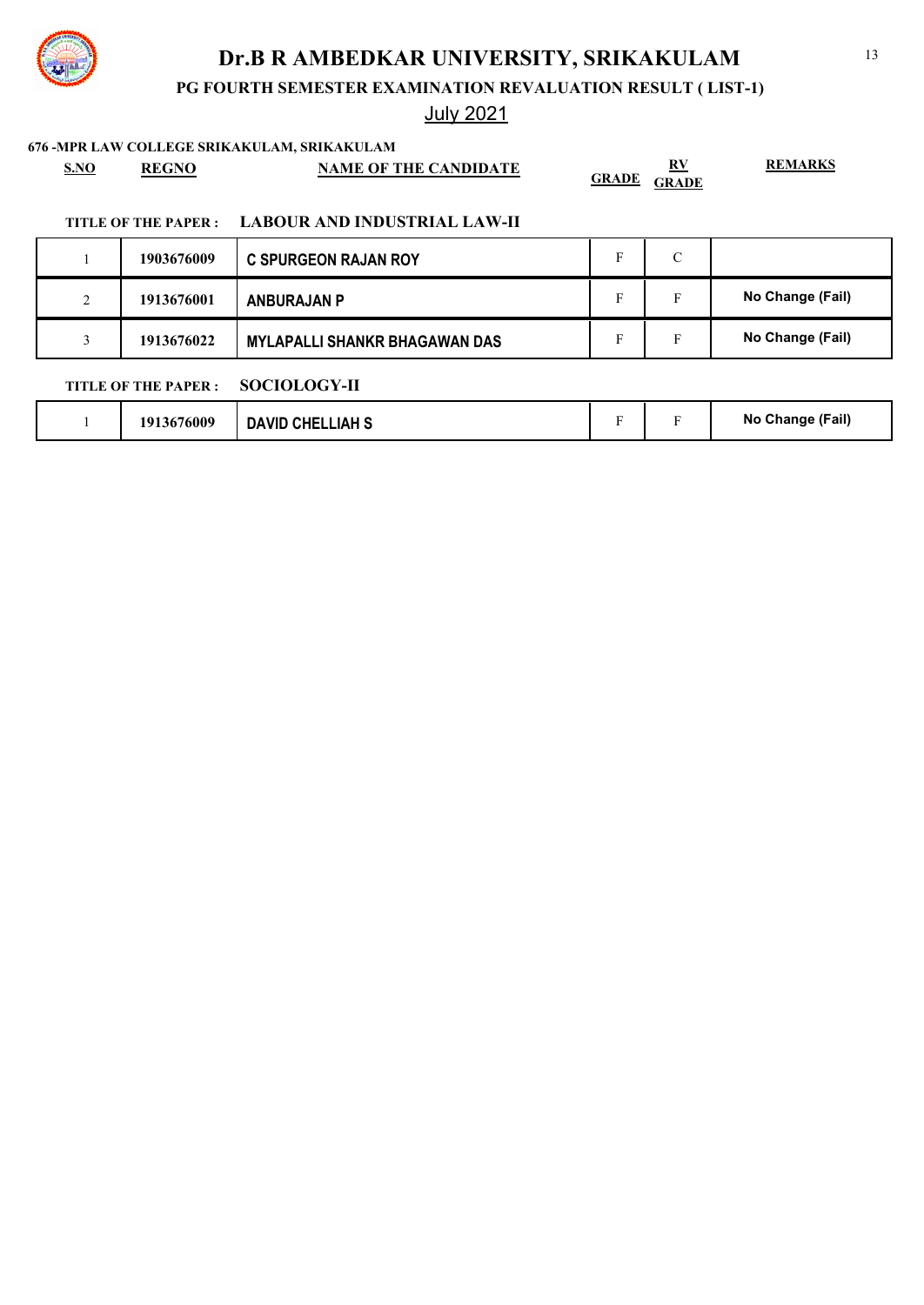**PG FOURTH SEMESTER EXAMINATION REVALUATION RESULT ( LIST-1)**

## July 2021

**676 -MPR LAW COLLEGE SRIKAKULAM, SRIKAKULAM**

|      | <u>iv mi klan collede skikakolaini skikkukola</u> |                              |                          |                |
|------|---------------------------------------------------|------------------------------|--------------------------|----------------|
| S.NO | <b>REGNO</b>                                      | <b>NAME OF THE CANDIDATE</b> | RV<br><b>GRADE GRADE</b> | <b>REMARKS</b> |
|      |                                                   |                              |                          |                |

### **TITLE OF THE PAPER : LABOUR AND INDUSTRIAL LAW-II**

|                    | 1903676009 | <b>C SPURGEON RAJAN ROY</b>          |   | $\sqrt{ }$<br>◡ |                  |
|--------------------|------------|--------------------------------------|---|-----------------|------------------|
| $\mathcal{D}$<br>∠ | 1913676001 | <b>ANBURAJAN P</b>                   | F | Е               | No Change (Fail) |
|                    | 1913676022 | <b>MYLAPALLI SHANKR BHAGAWAN DAS</b> |   | Е               | No Change (Fail) |
| 0.010101001        |            |                                      |   |                 |                  |

### **TITLE OF THE PAPER : SOCIOLOGY-II**

|  | 1913676009 | <b>DAVID CHELLIAH S</b> |  |  | No Change (Fail) |
|--|------------|-------------------------|--|--|------------------|
|--|------------|-------------------------|--|--|------------------|

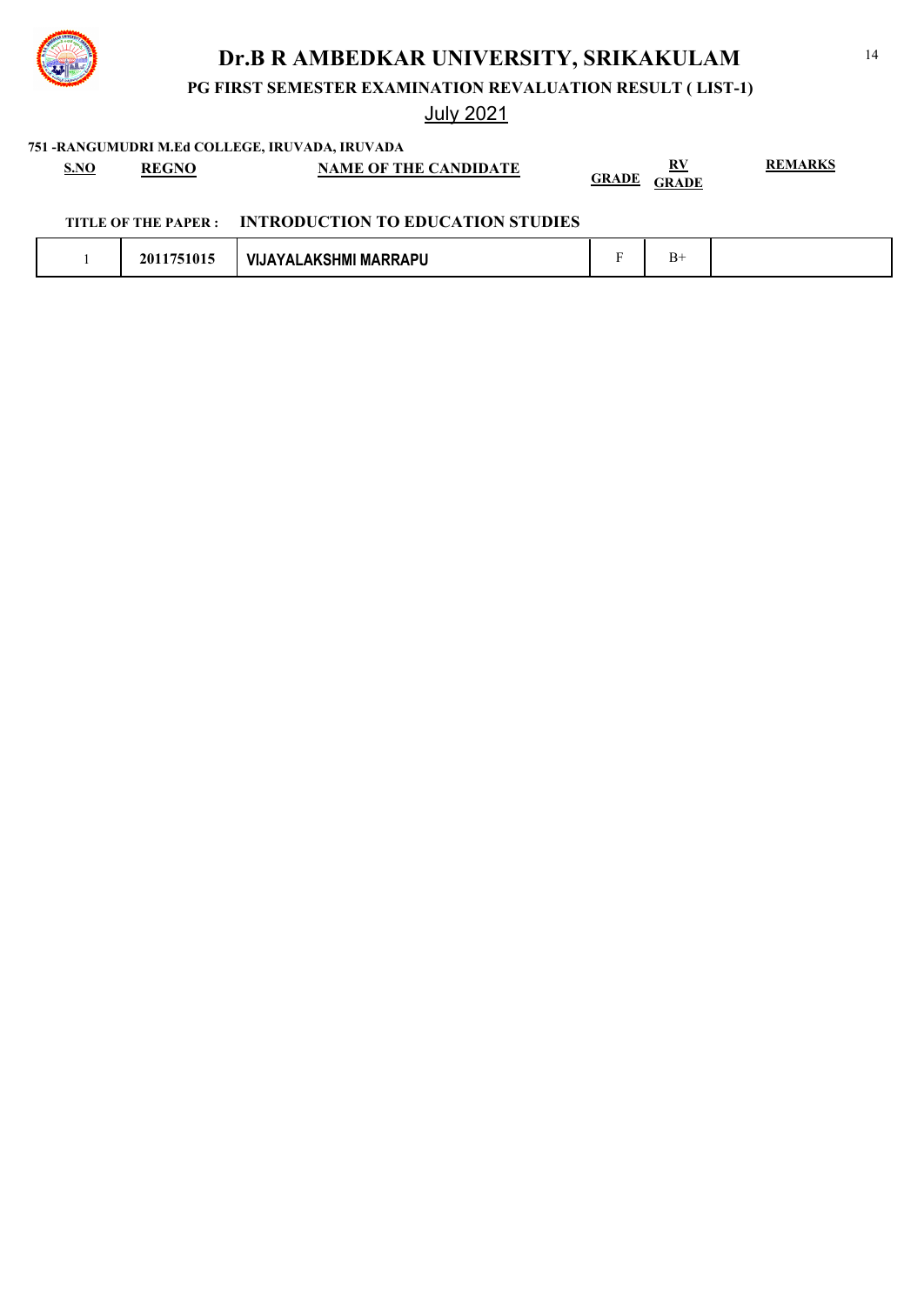

**PG FIRST SEMESTER EXAMINATION REVALUATION RESULT ( LIST-1)**

## July 2021

**751 -RANGUMUDRI M.Ed COLLEGE, IRUVADA, IRUVADA**

| S.NO | <b>REGNO</b> | <b>NAME OF THE CANDIDATE</b> | <u>RV</u>             | <b>REMARKS</b> |
|------|--------------|------------------------------|-----------------------|----------------|
|      |              |                              | GRADE<br><b>GRADE</b> |                |

### **TITLE OF THE PAPER : INTRODUCTION TO EDUCATION STUDIES**

|  | 2011751015 | LAKSHMI MARRAPU<br><b>VIJAYAL</b> |  |  |  |
|--|------------|-----------------------------------|--|--|--|
|--|------------|-----------------------------------|--|--|--|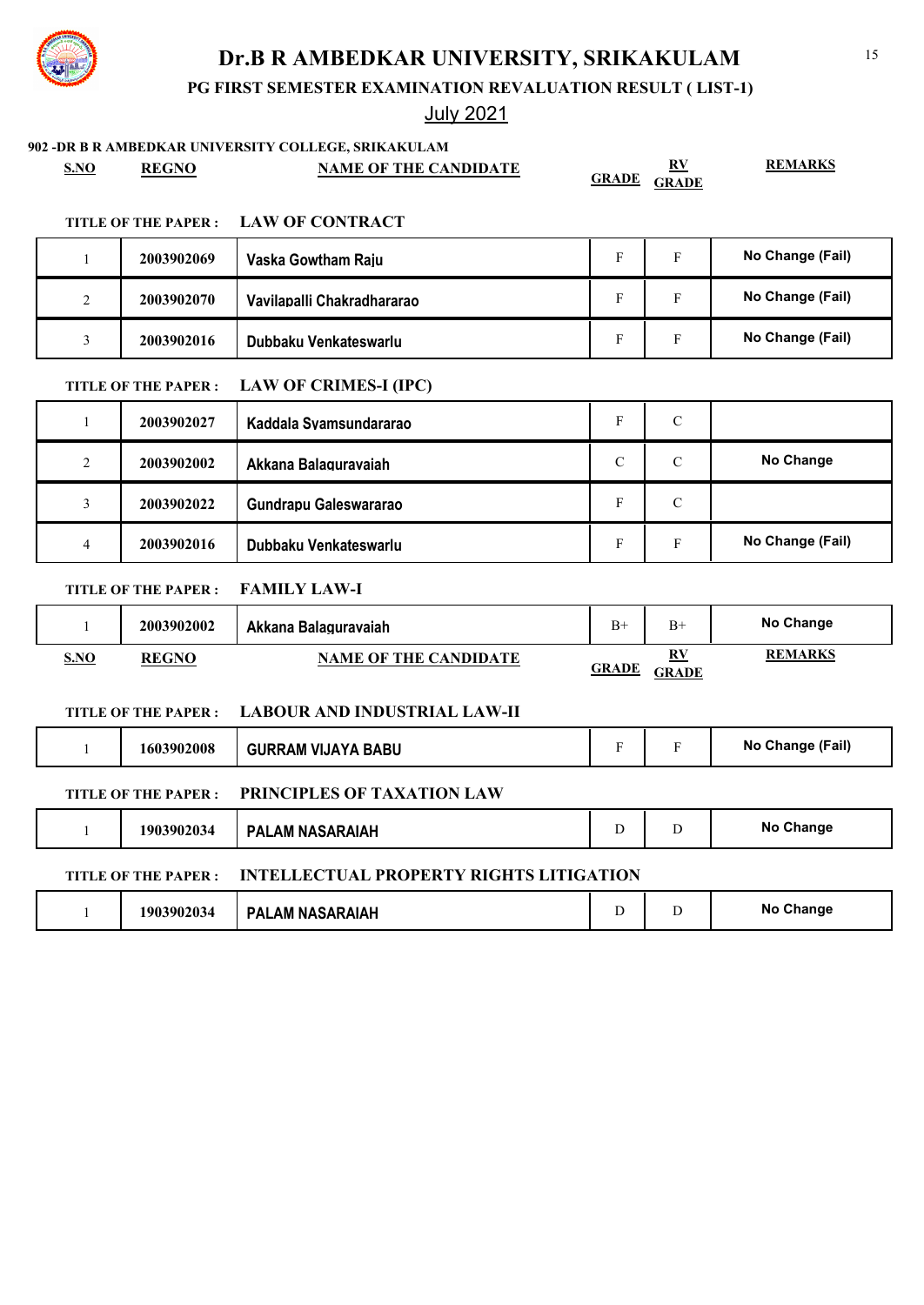**PG FIRST SEMESTER EXAMINATION REVALUATION RESULT ( LIST-1)**

|                |                            | 902 -DR B R AMBEDKAR UNIVERSITY COLLEGE, SRIKAKULAM |               |                    |                  |
|----------------|----------------------------|-----------------------------------------------------|---------------|--------------------|------------------|
| <b>S.NO</b>    | <b>REGNO</b>               | <b>NAME OF THE CANDIDATE</b>                        | <b>GRADE</b>  | RV<br><b>GRADE</b> | <b>REMARKS</b>   |
|                |                            |                                                     |               |                    |                  |
|                | <b>TITLE OF THE PAPER:</b> | <b>LAW OF CONTRACT</b>                              |               |                    |                  |
| $\mathbf{1}$   | 2003902069                 | Vaska Gowtham Raiu                                  | $\mathbf F$   | $\mathbf F$        | No Change (Fail) |
| 2              | 2003902070                 | Vavilapalli Chakradhararao                          | ${\bf F}$     | $\mathbf F$        | No Change (Fail) |
| 3              | 2003902016                 | Dubbaku Venkateswarlu                               | F             | $\mathbf{F}$       | No Change (Fail) |
|                | TITLE OF THE PAPER :       | <b>LAW OF CRIMES-I (IPC)</b>                        |               |                    |                  |
| 1              | 2003902027                 | Kaddala Svamsundararao                              | ${\rm F}$     | $\mathbf C$        |                  |
| $\overline{2}$ | 2003902002                 | Akkana Balagurayaiah                                | $\mathcal{C}$ | $\mathbf C$        | No Change        |
| $\mathfrak{Z}$ | 2003902022                 | Gundrapu Galeswararao                               | F             | $\mathcal{C}$      |                  |
| $\overline{4}$ | 2003902016                 | Dubbaku Venkateswarlu                               | F             | F                  | No Change (Fail) |
|                | <b>TITLE OF THE PAPER:</b> | <b>FAMILY LAW-I</b>                                 |               |                    |                  |
| 1              | 2003902002                 | Akkana Balagurayaiah                                | $B+$          | $B+$               | No Change        |
| S.NO           | <b>REGNO</b>               | <b>NAME OF THE CANDIDATE</b>                        | <b>GRADE</b>  | RV<br><b>GRADE</b> | <b>REMARKS</b>   |
|                | <b>TITLE OF THE PAPER:</b> | <b>LABOUR AND INDUSTRIAL LAW-II</b>                 |               |                    |                  |
| $\mathbf{1}$   | 1603902008                 | <b>GURRAM VIJAYA BABU</b>                           | $\mathbf F$   | $\mathbf F$        | No Change (Fail) |
|                | <b>TITLE OF THE PAPER:</b> | PRINCIPLES OF TAXATION LAW                          |               |                    |                  |
| $\mathbf{1}$   | 1903902034                 | <b>PALAM NASARAIAH</b>                              | D             | D                  | No Change        |
|                | TITLE OF THE PAPER :       | <b>INTELLECTUAL PROPERTY RIGHTS LITIGATION</b>      |               |                    |                  |
| 1              | 1903902034                 | <b>PALAM NASARAIAH</b>                              | D             | D                  | No Change        |

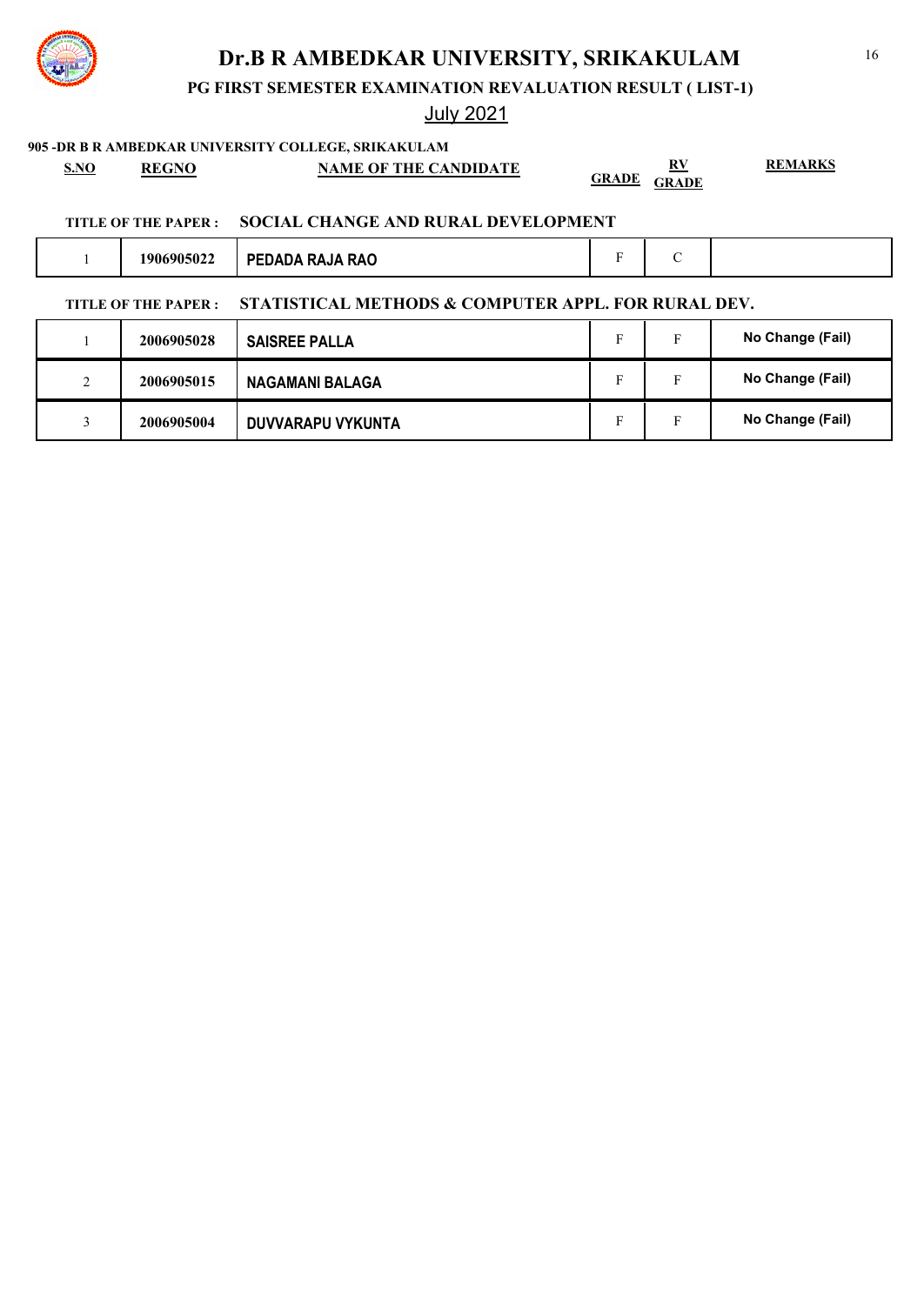**PG FIRST SEMESTER EXAMINATION REVALUATION RESULT ( LIST-1)**

## July 2021

3 **2006905004 DUVVARAPU VYKUNTA F F No Change (Fail)** 

# **905 -DR B R AMBEDKAR UNIVERSITY COLLEGE, SRIKAKULAM S.NO REGNO NAME OF THE CANDIDATE RV GRADE GRADE REMARKS TITLE OF THE PAPER : SOCIAL CHANGE AND RURAL DEVELOPMENT** 1 **1906905022 PEDADA RAJA RAO** F C **TITLE OF THE PAPER : STATISTICAL METHODS & COMPUTER APPL. FOR RURAL DEV.** 1 **2006905028** SAISREE PALLA **F** F No Change (Fail) 2 **2006905015 NAGAMANI BALAGA** N **F F No Change (Fail)**

### 16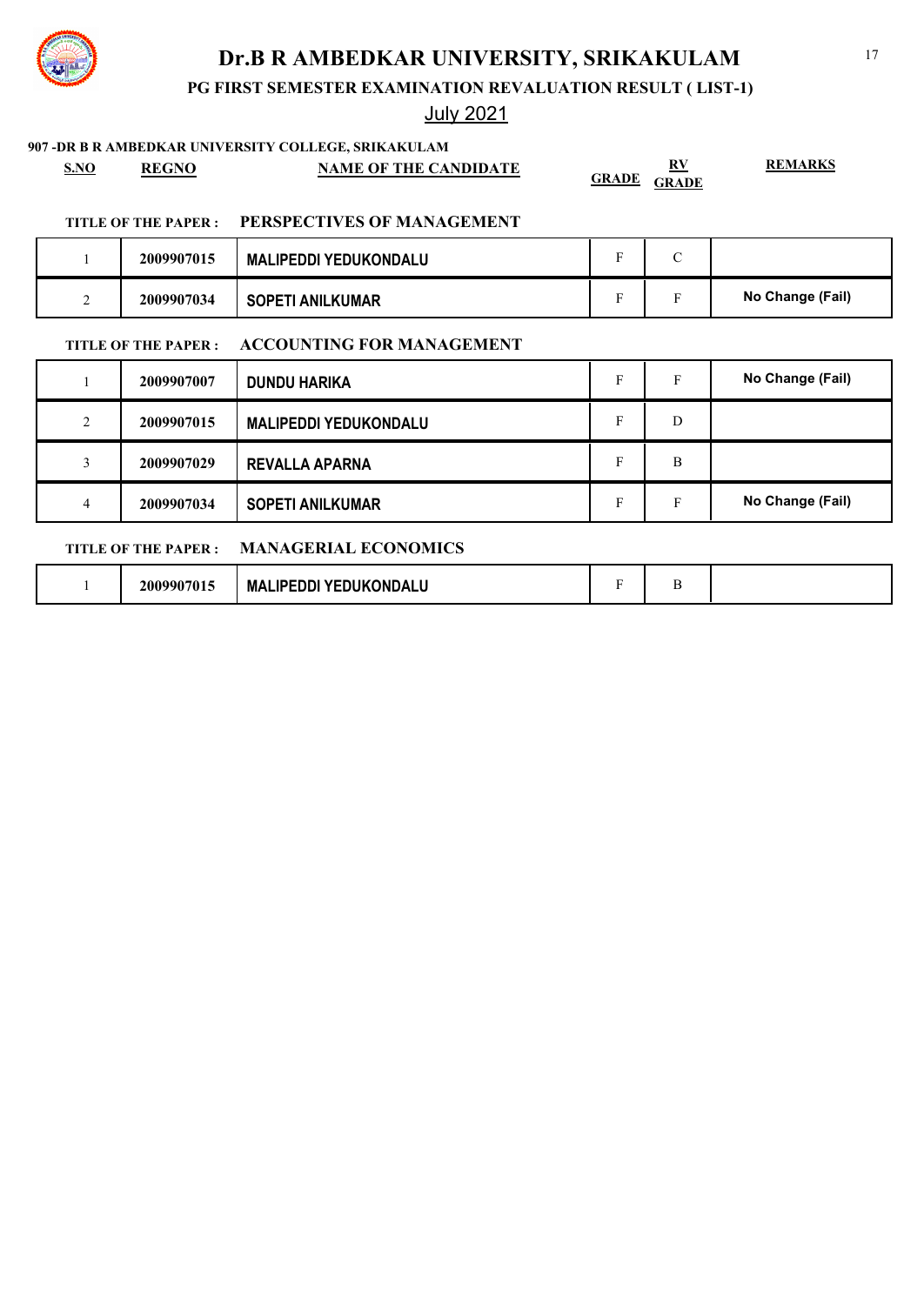

## July 2021

### **907 -DR B R AMBEDKAR UNIVERSITY COLLEGE, SRIKAKULAM**

**TITLE OF THE PAPER : MANAGERIAL ECONOMICS**

| <b>S.NO</b>    | <b>REGNO</b>         | <b>NAME OF THE CANDIDATE</b>     | GRADE | $\mathbf{R}\mathbf{V}$<br><b>GRADE</b> | <b>REMARKS</b>   |
|----------------|----------------------|----------------------------------|-------|----------------------------------------|------------------|
|                | TITLE OF THE PAPER : | PERSPECTIVES OF MANAGEMENT       |       |                                        |                  |
|                | 2009907015           | <b>MALIPEDDI YEDUKONDALU</b>     | F     | $\mathcal{C}$                          |                  |
| $\overline{2}$ | 2009907034           | <b>SOPETI ANILKUMAR</b>          | F     | F                                      | No Change (Fail) |
|                | TITLE OF THE PAPER : | <b>ACCOUNTING FOR MANAGEMENT</b> |       |                                        |                  |
|                | 2009907007           | <b>DUNDU HARIKA</b>              | F     | F                                      | No Change (Fail) |
| 2              | 2009907015           | <b>MALIPEDDI YEDUKONDALU</b>     | F     | D                                      |                  |

4 **2009907034 SOPETI ANILKUMAR F** F **No Change (Fail)** 

3 **2009907029 REVALLA APARNA** F B

1 **2009907015 MALIPEDDI YEDUKONDALU** F B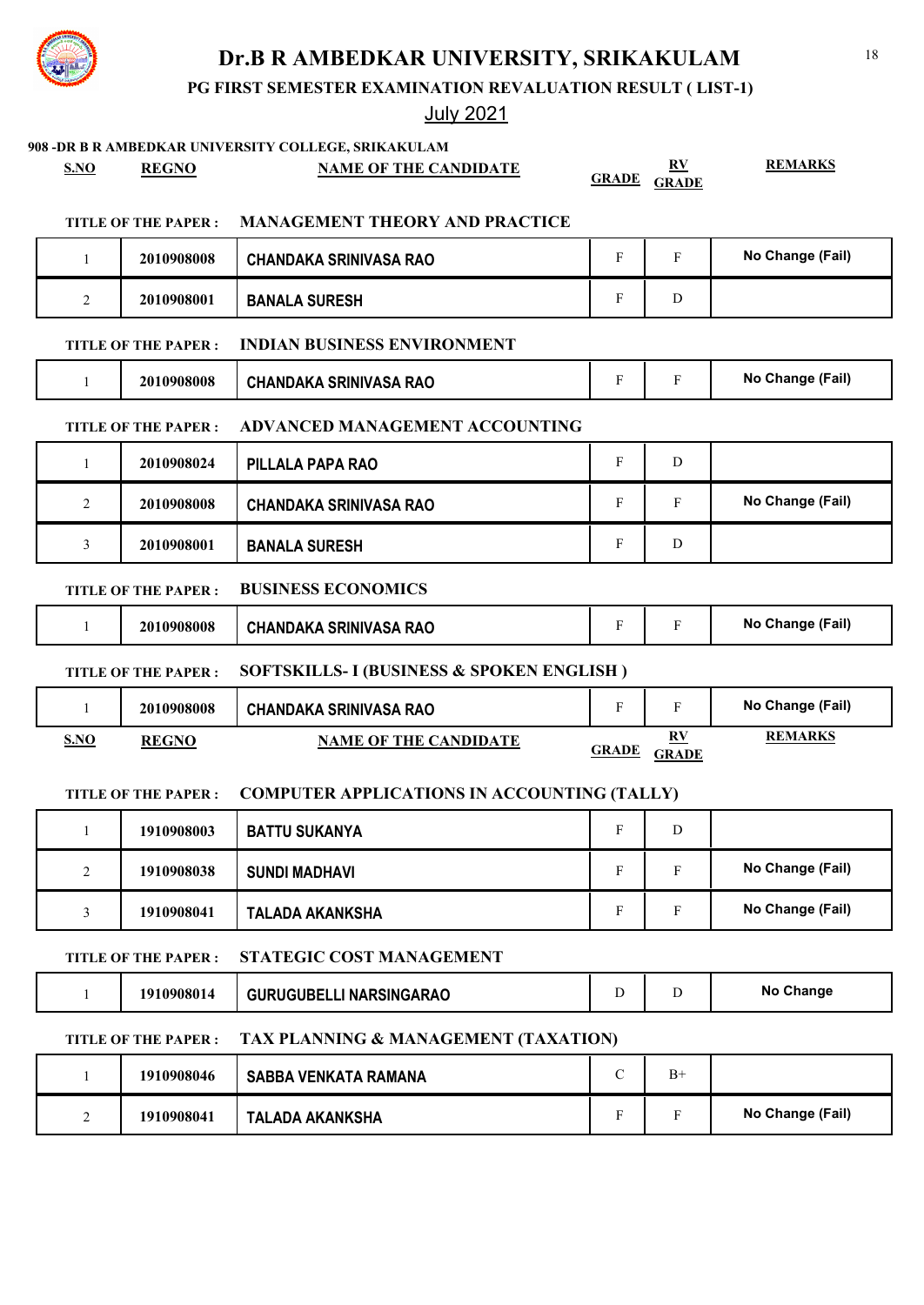**PG FIRST SEMESTER EXAMINATION REVALUATION RESULT ( LIST-1)**

## July 2021

**908 -DR B R AMBEDKAR UNIVERSITY COLLEGE, SRIKAKULAM**

**S.NO REGNO NAME OF THE CANDIDATE RV** 

**GRADE GRADE**

**REMARKS**

### **TITLE OF THE PAPER : MANAGEMENT THEORY AND PRACTICE**

|   | 2010908008 | <b>CHANDAKA SRINIVASA RAO</b> |   | No Change (Fail) |
|---|------------|-------------------------------|---|------------------|
| ∸ | 2010908001 | <b>BANALA SURESH</b>          | ◡ |                  |

### **TITLE OF THE PAPER : INDIAN BUSINESS ENVIRONMENT**

| 2010908008 | <b>CHANDAKA SRINIVASA RAO</b> | - |  | No Change (Fail) |
|------------|-------------------------------|---|--|------------------|
|------------|-------------------------------|---|--|------------------|

### **TITLE OF THE PAPER : ADVANCED MANAGEMENT ACCOUNTING**

|          | 2010908024 | PILLALA PAPA RAO              | п | D |                  |
|----------|------------|-------------------------------|---|---|------------------|
| $\gamma$ | 2010908008 | <b>CHANDAKA SRINIVASA RAO</b> |   | F | No Change (Fail) |
|          | 2010908001 | <b>BANALA SURESH</b>          | Р | D |                  |

### **TITLE OF THE PAPER : BUSINESS ECONOMICS**

| 0908008<br>20 | <b>SA RAO</b><br>N∆K∆<br><b>SRINIVASA</b><br><b>CHAND</b> |  | (Fail)<br>Nc<br>.nande |
|---------------|-----------------------------------------------------------|--|------------------------|
|               |                                                           |  |                        |

### **TITLE OF THE PAPER : SOFTSKILLS- I (BUSINESS & SPOKEN ENGLISH )**

|     | 2010908008   | CHANDAKA SRINIVASA RAO       |              |             | No Change (Fail) |
|-----|--------------|------------------------------|--------------|-------------|------------------|
| SNO | <b>REGNO</b> | <b>NAME OF THE CANDIDATE</b> | <b>GRADE</b> | R١<br>GRADE | <b>REMARKS</b>   |

### **TITLE OF THE PAPER : COMPUTER APPLICATIONS IN ACCOUNTING (TALLY)**

|                    | 1910908003 | <b>BATTU SUKANYA</b>   | D |                  |
|--------------------|------------|------------------------|---|------------------|
| $\mathcal{D}$<br>∠ | 1910908038 | <b>SUNDI MADHAVI</b>   | Е | No Change (Fail) |
|                    | 1910908041 | <b>TALADA AKANKSHA</b> |   | No Change (Fail) |

### **TITLE OF THE PAPER : STATEGIC COST MANAGEMENT**

|  | 1910908014 | GURUGUBELLI NARSINGARAO |  |  | No Change |
|--|------------|-------------------------|--|--|-----------|
|--|------------|-------------------------|--|--|-----------|

### **TITLE OF THE PAPER : TAX PLANNING & MANAGEMENT (TAXATION)**

|   | 1910908046 | SABBA VENKATA RAMANA   | $B+$ |                  |
|---|------------|------------------------|------|------------------|
| - | 1910908041 | <b>TALADA AKANKSHA</b> |      | No Change (Fail) |

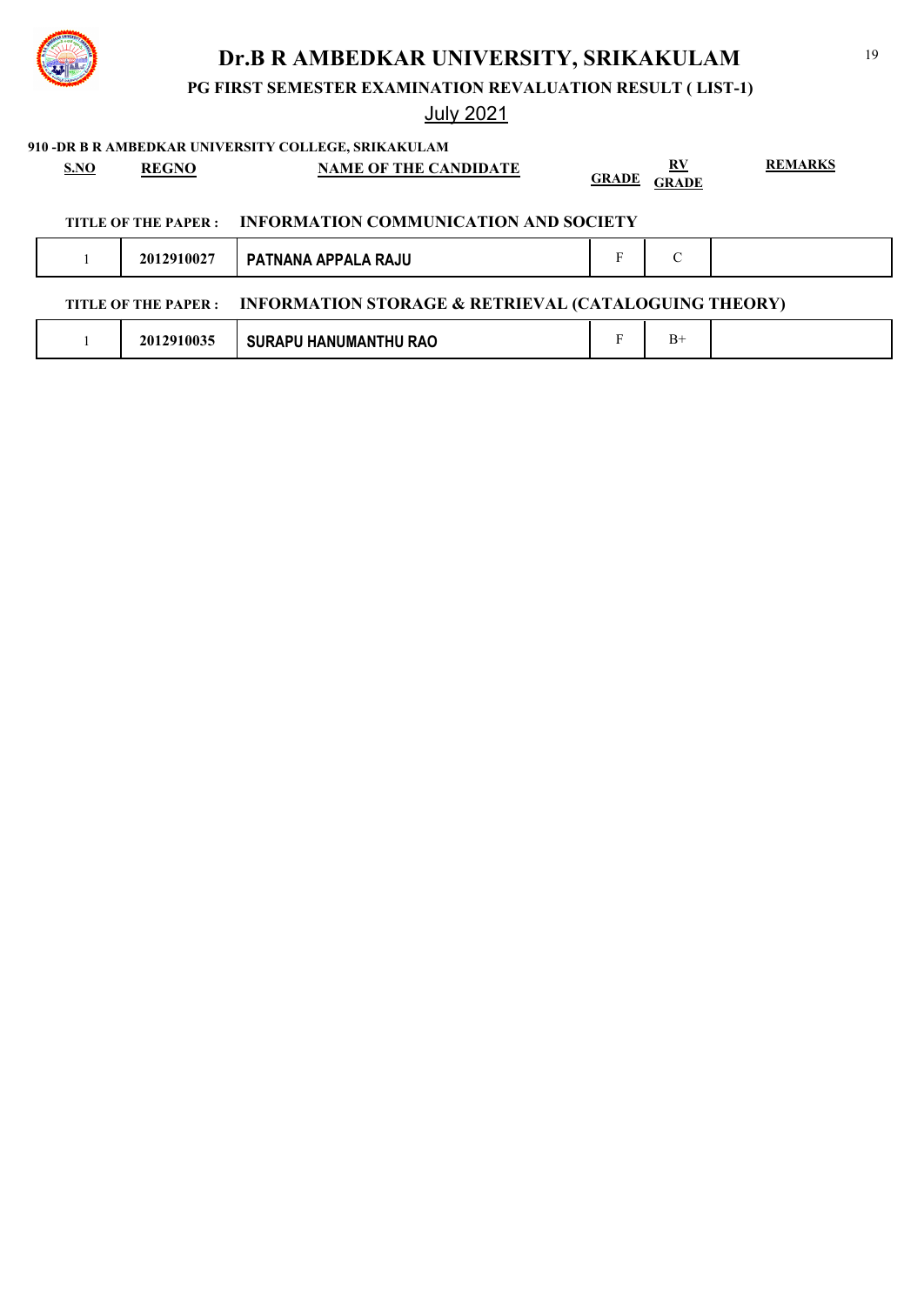**PG FIRST SEMESTER EXAMINATION REVALUATION RESULT ( LIST-1)**

|  |  | 910 -DR B R AMBEDKAR UNIVERSITY COLLEGE, SRIKAKULAM |
|--|--|-----------------------------------------------------|
|  |  |                                                     |

| S.NO | <b>REGNO</b>         | <b>NAME OF THE CANDIDATE</b>                                    | <b>GRADE</b> | $\mathbf{R} \mathbf{V}$<br><b>GRADE</b> | <b>REMARKS</b> |
|------|----------------------|-----------------------------------------------------------------|--------------|-----------------------------------------|----------------|
|      | TITLE OF THE PAPER : | INFORMATION COMMUNICATION AND SOCIETY                           |              |                                         |                |
|      | 2012910027           | PATNANA APPALA RAJU                                             | F            | $\mathcal{C}$                           |                |
|      | TITLE OF THE PAPER : | <b>INFORMATION STORAGE &amp; RETRIEVAL (CATALOGUING THEORY)</b> |              |                                         |                |
|      | 2012910035           | <b>SURAPU HANUMANTHU RAO</b>                                    | Е            | $B+$                                    |                |
|      |                      |                                                                 |              |                                         |                |

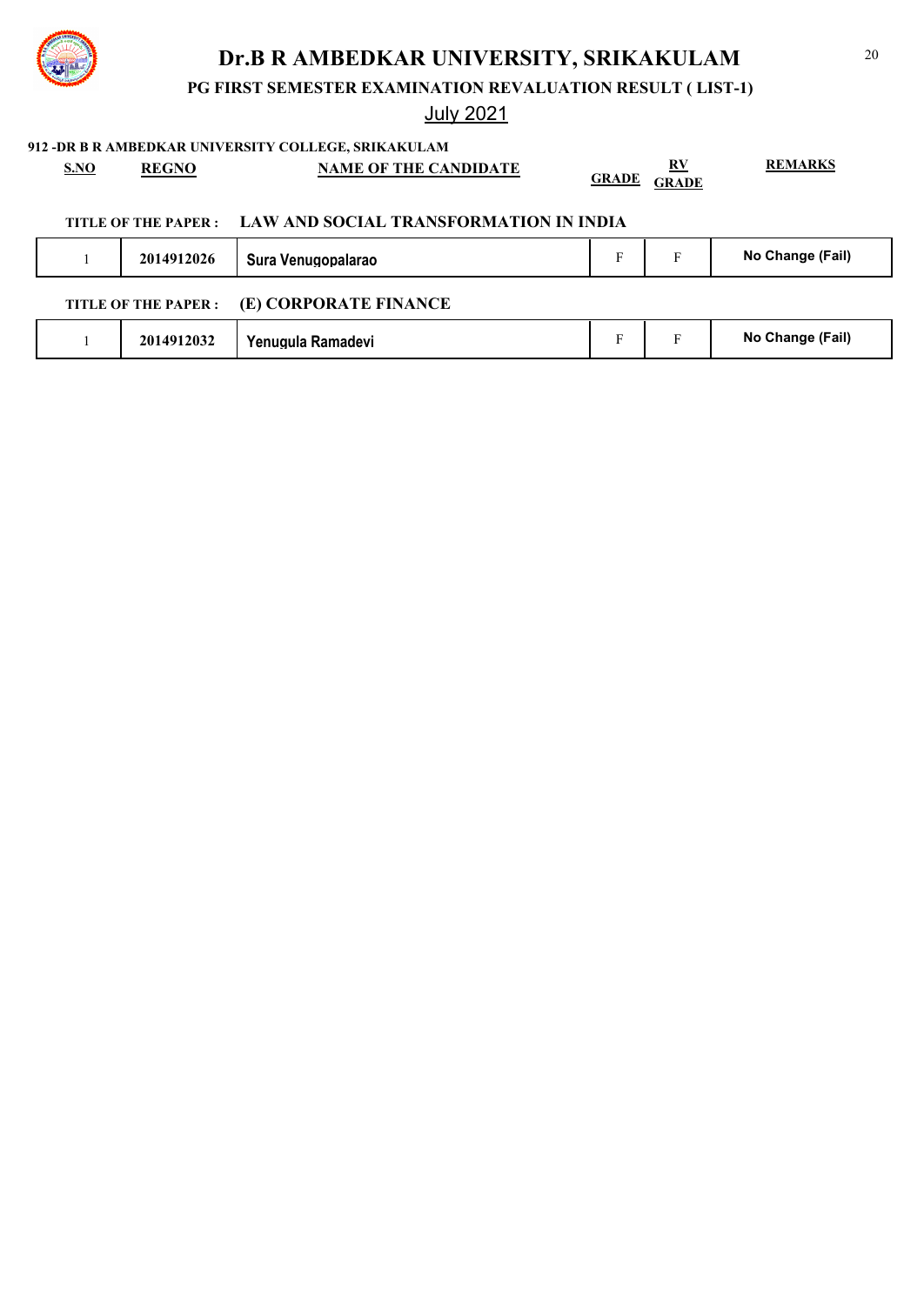**PG FIRST SEMESTER EXAMINATION REVALUATION RESULT ( LIST-1)**

## July 2021

**912 -DR B R AMBEDKAR UNIVERSITY COLLEGE, SRIKAKULAM**

| <b>S.NO</b> | <b>REGNO</b>               | <b>NAME OF THE CANDIDATE</b>           | <b>GRADE</b> | <u>RV</u><br><b>GRADE</b> | <b>REMARKS</b>   |
|-------------|----------------------------|----------------------------------------|--------------|---------------------------|------------------|
|             | TITLE OF THE PAPER :       | LAW AND SOCIAL TRANSFORMATION IN INDIA |              |                           |                  |
|             | 2014912026                 | Sura Venugopalarao                     | F            | F                         | No Change (Fail) |
|             | <b>TITLE OF THE PAPER:</b> | (E) CORPORATE FINANCE                  |              |                           |                  |
|             | 2014912032                 | Yenugula Ramadevi                      | F            | F                         | No Change (Fail) |
|             |                            |                                        |              |                           |                  |

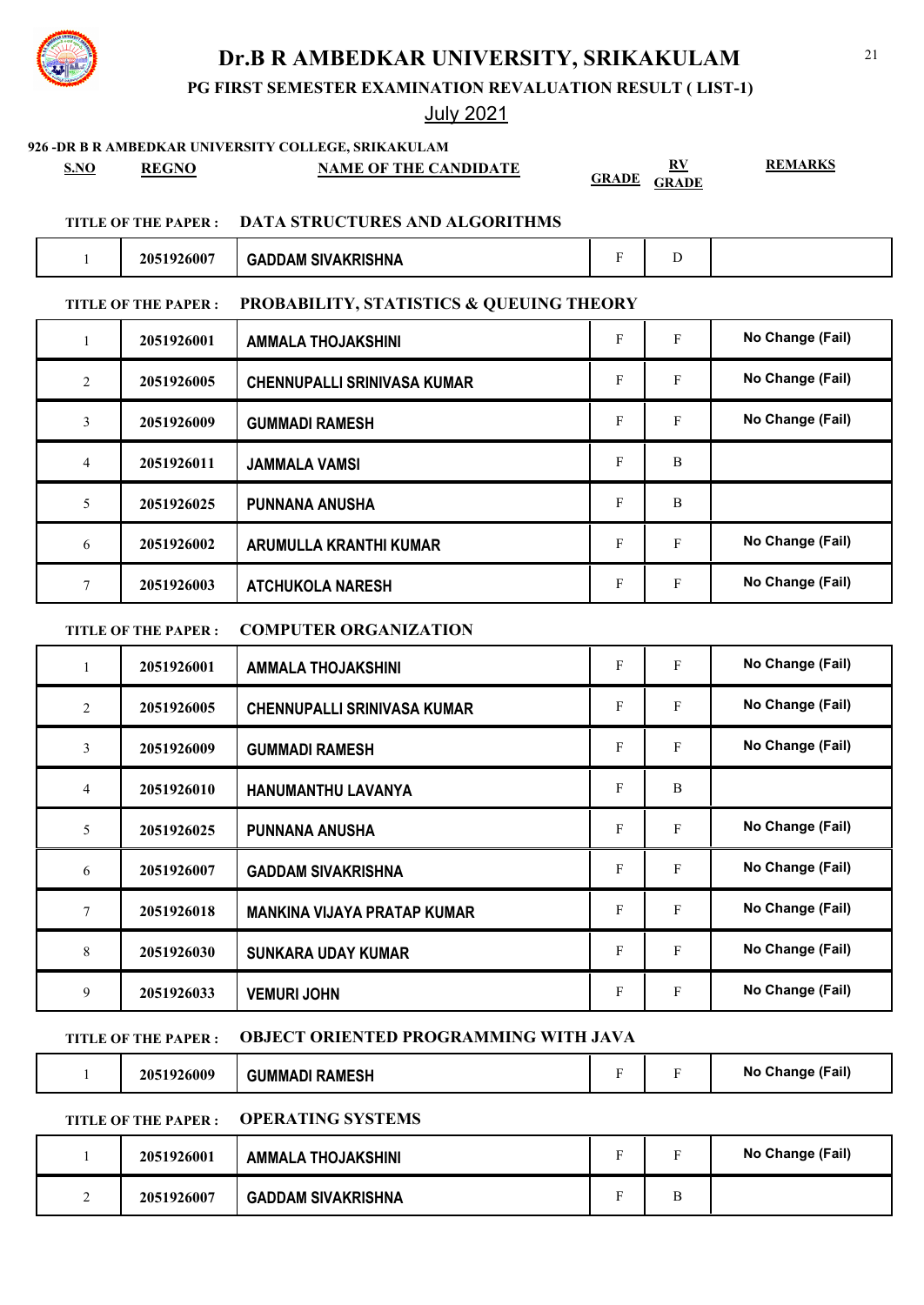**PG FIRST SEMESTER EXAMINATION REVALUATION RESULT ( LIST-1)**

## July 2021

**926 -DR B R AMBEDKAR UNIVERSITY COLLEGE, SRIKAKULAM**

| SNO | <b>REGNO</b> | <b>NAME OF THE CANDIDATE</b> | $\cap$ in $\cap$ |  |
|-----|--------------|------------------------------|------------------|--|
|     |              |                              |                  |  |

**GRADE GRADE**

**REMARKS**

### **TITLE OF THE PAPER : DATA STRUCTURES AND ALGORITHMS**

| 2051926007 | <b>GADDAM SIVAKRISHNA</b> |  |
|------------|---------------------------|--|

### **TITLE OF THE PAPER : PROBABILITY, STATISTICS & QUEUING THEORY**

| $\mathbf{I}$   | 2051926001 | <b>AMMALA THOJAKSHINI</b>          | F | $\mathbf{F}$ | No Change (Fail) |
|----------------|------------|------------------------------------|---|--------------|------------------|
| 2              | 2051926005 | <b>CHENNUPALLI SRINIVASA KUMAR</b> | F | F            | No Change (Fail) |
| 3              | 2051926009 | <b>GUMMADI RAMESH</b>              | F | F            | No Change (Fail) |
| $\overline{4}$ | 2051926011 | <b>JAMMALA VAMSI</b>               | F | B            |                  |
| 5              | 2051926025 | <b>PUNNANA ANUSHA</b>              | F | B            |                  |
| 6              | 2051926002 | ARUMULLA KRANTHI KUMAR             | F | $\mathbf{F}$ | No Change (Fail) |
| 7              | 2051926003 | <b>ATCHUKOLA NARESH</b>            | F | F            | No Change (Fail) |

### **TITLE OF THE PAPER : COMPUTER ORGANIZATION**

| 1              | 2051926001 | <b>AMMALA THOJAKSHINI</b>          | $\mathbf{F}$ | F | No Change (Fail) |
|----------------|------------|------------------------------------|--------------|---|------------------|
| 2              | 2051926005 | <b>CHENNUPALLI SRINIVASA KUMAR</b> | F            | F | No Change (Fail) |
| 3              | 2051926009 | <b>GUMMADI RAMESH</b>              | $\mathbf{F}$ | F | No Change (Fail) |
| $\overline{4}$ | 2051926010 | HANUMANTHU LAVANYA                 | F            | B |                  |
| 5              | 2051926025 | <b>PUNNANA ANUSHA</b>              | F            | F | No Change (Fail) |
| 6              | 2051926007 | <b>GADDAM SIVAKRISHNA</b>          | F            | F | No Change (Fail) |
| 7              | 2051926018 | <b>MANKINA VIJAYA PRATAP KUMAR</b> | F            | F | No Change (Fail) |
| 8              | 2051926030 | <b>SUNKARA UDAY KUMAR</b>          | F            | F | No Change (Fail) |
| 9              | 2051926033 | <b>VEMURI JOHN</b>                 | F            | F | No Change (Fail) |

### **TITLE OF THE PAPER : OBJECT ORIENTED PROGRAMMING WITH JAVA**

| .6009 | <b>AMESH</b><br>≀∆м⊢<br>3 I IMMAI 11. | $\overline{\phantom{0}}$ | (Fail)<br><b>NO</b> |
|-------|---------------------------------------|--------------------------|---------------------|
|       |                                       |                          |                     |

## **TITLE OF THE PAPER : OPERATING SYSTEMS**

| 2051926001 | <b>AMMALA THOJAKSHINI</b> | $\blacksquare$ |   | No Change (Fail) |
|------------|---------------------------|----------------|---|------------------|
| 2051926007 | <b>GADDAM SIVAKRISHNA</b> | $\blacksquare$ | ь |                  |

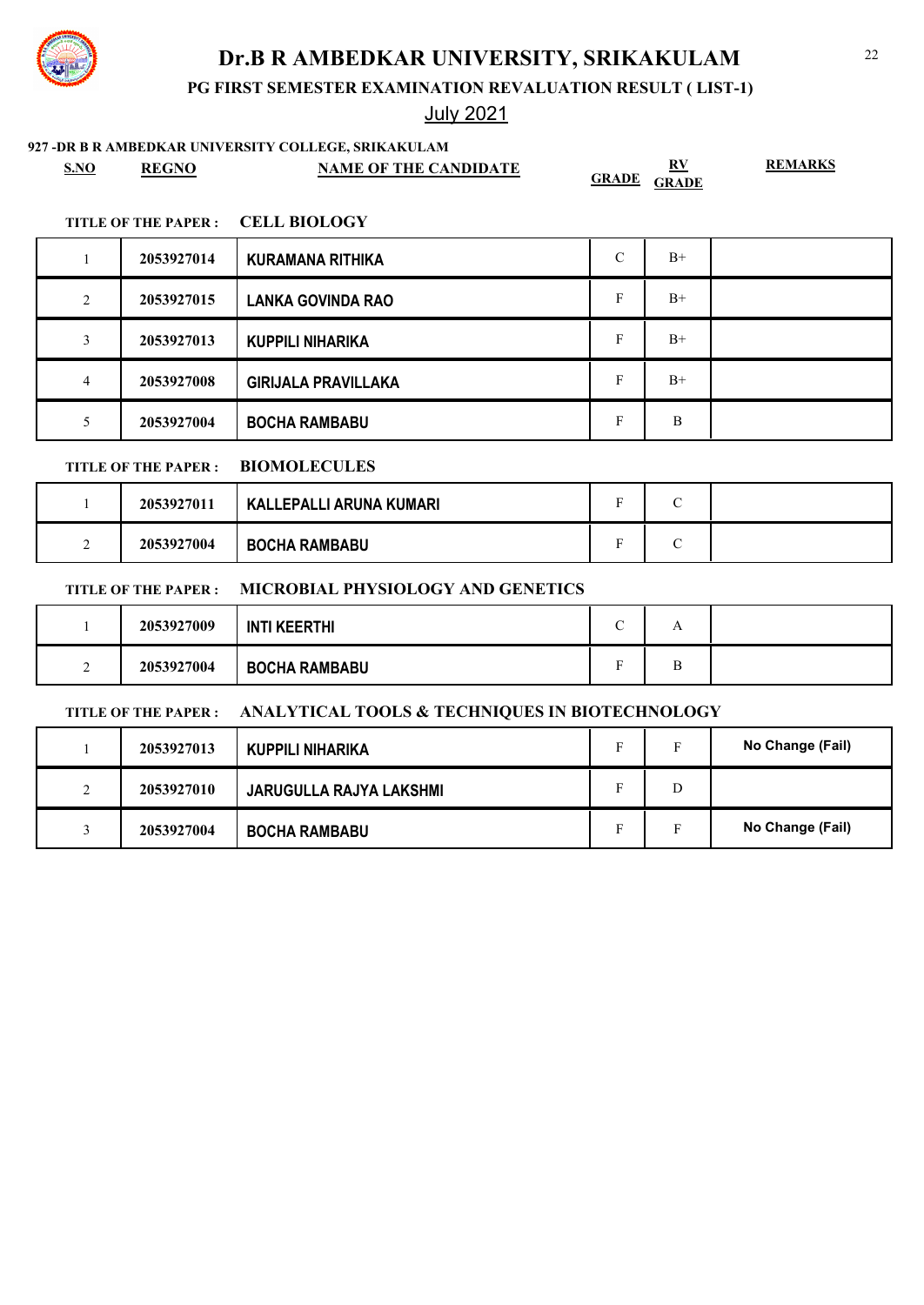**PG FIRST SEMESTER EXAMINATION REVALUATION RESULT ( LIST-1)**

## July 2021

## **927 -DR B R AMBEDKAR UNIVERSITY COLLEGE, SRIKAKULAM**

| S.NO           | <b>REGNO</b>               | <b>NAME OF THE CANDIDATE</b>                   | <b>GRADE</b>  | $\mathbf{R} \mathbf{V}$<br><b>GRADE</b> | <b>REMARKS</b>   |
|----------------|----------------------------|------------------------------------------------|---------------|-----------------------------------------|------------------|
|                | <b>TITLE OF THE PAPER:</b> | <b>CELL BIOLOGY</b>                            |               |                                         |                  |
| $\mathbf{1}$   | 2053927014                 | <b>KURAMANA RITHIKA</b>                        | $\mathcal{C}$ | $B+$                                    |                  |
| 2              | 2053927015                 | <b>LANKA GOVINDA RAO</b>                       | F             | $B+$                                    |                  |
| 3              | 2053927013                 | <b>KUPPILI NIHARIKA</b>                        | F             | $B+$                                    |                  |
| $\overline{4}$ | 2053927008                 | <b>GIRIJALA PRAVILLAKA</b>                     | $\mathbf F$   | $B+$                                    |                  |
| 5              | 2053927004                 | <b>BOCHA RAMBABU</b>                           | F             | B                                       |                  |
|                | <b>TITLE OF THE PAPER:</b> | <b>BIOMOLECULES</b>                            |               |                                         |                  |
| 1              | 2053927011                 | <b>KALLEPALLI ARUNA KUMARI</b>                 | $\mathbf F$   | $\mathcal{C}$                           |                  |
| 2              | 2053927004                 | <b>BOCHA RAMBABU</b>                           | F             | $\mathcal{C}$                           |                  |
|                | <b>TITLE OF THE PAPER:</b> | MICROBIAL PHYSIOLOGY AND GENETICS              |               |                                         |                  |
| $\mathbf{1}$   | 2053927009                 | <b>INTI KEERTHI</b>                            | $\mathsf{C}$  | A                                       |                  |
| 2              | 2053927004                 | <b>BOCHA RAMBABU</b>                           | F             | B                                       |                  |
|                | <b>TITLE OF THE PAPER:</b> | ANALYTICAL TOOLS & TECHNIQUES IN BIOTECHNOLOGY |               |                                         |                  |
| $\mathbf{1}$   | 2053927013                 | <b>KUPPILI NIHARIKA</b>                        | $\mathbf F$   | $\mathbf{F}$                            | No Change (Fail) |
| 2              | 2053927010                 | JARUGULLA RAJYA LAKSHMI                        | F             | D                                       |                  |

3 **2053927004 BOCHA RAMBABU** F F No Change (Fail)

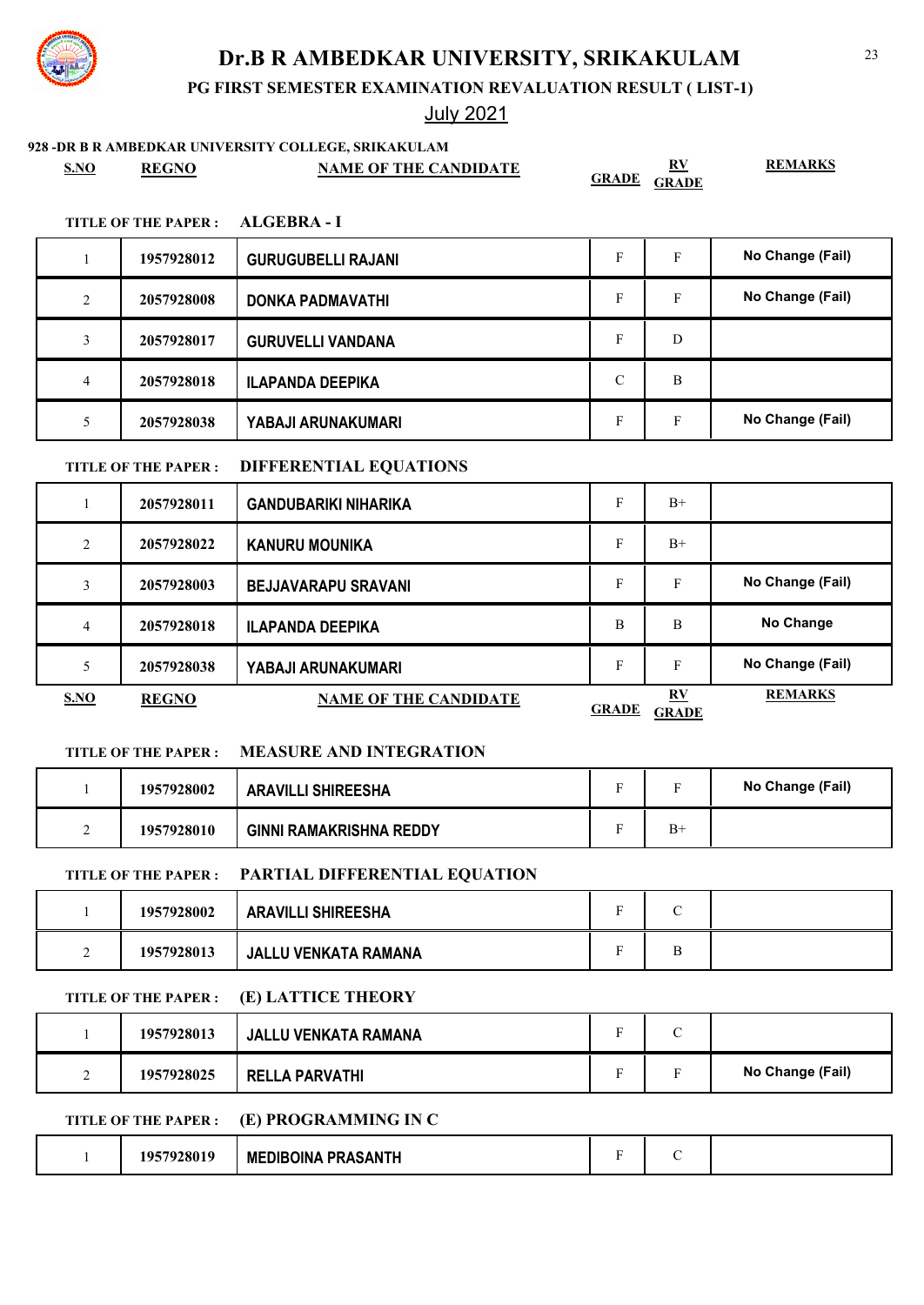**PG FIRST SEMESTER EXAMINATION REVALUATION RESULT ( LIST-1)**

## July 2021

### **928 -DR B R AMBEDKAR UNIVERSITY COLLEGE, SRIKAKULAM**

| S.NO | <b>REGNO</b> | <b>NAME OF THE CANDIDATE</b> | RV<br><b>GRADE</b><br><b>GRADE</b> | <b>REMARKS</b> |
|------|--------------|------------------------------|------------------------------------|----------------|
|------|--------------|------------------------------|------------------------------------|----------------|

### **TITLE OF THE PAPER : ALGEBRA - I**

|   | 1957928012 | <b>GURUGUBELLI RAJANI</b> | Е          | F | No Change (Fail) |
|---|------------|---------------------------|------------|---|------------------|
| 2 | 2057928008 | <b>DONKA PADMAVATHI</b>   | Е          | F | No Change (Fail) |
|   | 2057928017 | <b>GURUVELLI VANDANA</b>  | F          | D |                  |
| 4 | 2057928018 | <b>ILAPANDA DEEPIKA</b>   | $\sqrt{ }$ | B |                  |
|   | 2057928038 | YABAJI ARUNAKUMARI        | Е          | F | No Change (Fail) |

### **TITLE OF THE PAPER : DIFFERENTIAL EQUATIONS**

|                | 2057928011   | GANDUBARIKI NIHARIKA         | F            | $B+$                                    |                  |
|----------------|--------------|------------------------------|--------------|-----------------------------------------|------------------|
| $\overline{2}$ | 2057928022   | <b>KANURU MOUNIKA</b>        | F            | $B+$                                    |                  |
| 3              | 2057928003   | <b>BEJJAVARAPU SRAVANI</b>   | F            | F                                       | No Change (Fail) |
| $\overline{4}$ | 2057928018   | <b>ILAPANDA DEEPIKA</b>      | B            | B                                       | No Change        |
| 5              | 2057928038   | YABAJI ARUNAKUMARI           | F            | F                                       | No Change (Fail) |
| <b>S.NO</b>    | <b>REGNO</b> | <b>NAME OF THE CANDIDATE</b> | <b>GRADE</b> | $\mathbf{R} \mathbf{V}$<br><b>GRADE</b> | <b>REMARKS</b>   |

## **TITLE OF THE PAPER : MEASURE AND INTEGRATION**

|   | 1957928002 | <b>ARAVILLI SHIREESHA</b>      |      | No Change (Fail) |
|---|------------|--------------------------------|------|------------------|
| - | 1957928010 | <b>GINNI RAMAKRISHNA REDDY</b> | $B+$ |                  |

### **TITLE OF THE PAPER : PARTIAL DIFFERENTIAL EQUATION**

| 1957928002 | <b>ARAVILLI SHIREESHA</b> |   |  |
|------------|---------------------------|---|--|
| 1957928013 | JALLU VENKATA RAMANA      | ս |  |

## **TITLE OF THE PAPER : (E) LATTICE THEORY**

|   | 1957928013 | JALLU VENKATA RAMANA  | ◡              |                  |
|---|------------|-----------------------|----------------|------------------|
| ∸ | 1957928025 | <b>RELLA PARVATHI</b> | $\blacksquare$ | No Change (Fail) |

## **TITLE OF THE PAPER : (E) PROGRAMMING IN C**

|  | 1057078010<br>7200. | <b>MEDIBOINA PRASANTH</b> |  |  |  |
|--|---------------------|---------------------------|--|--|--|
|--|---------------------|---------------------------|--|--|--|

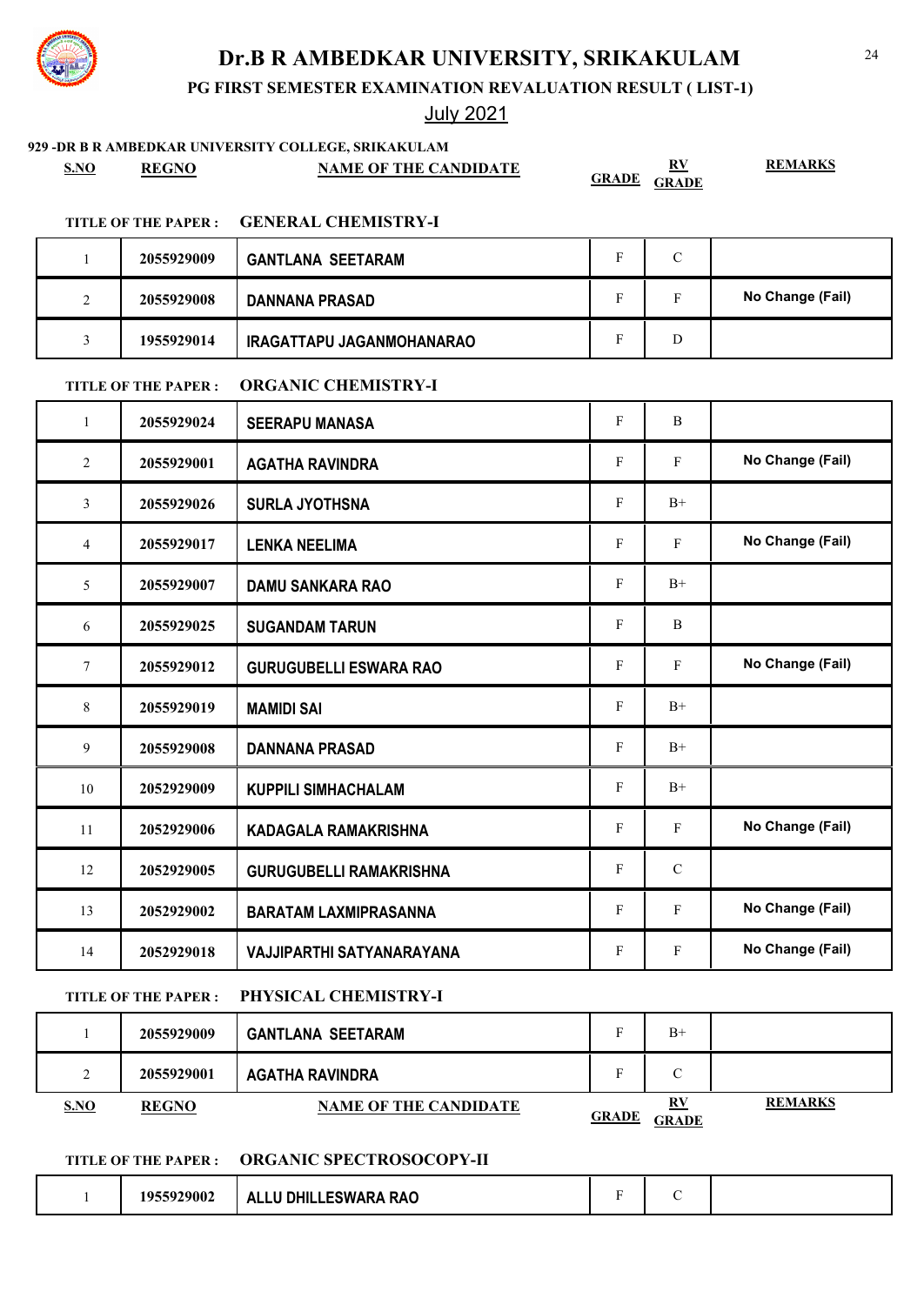**PG FIRST SEMESTER EXAMINATION REVALUATION RESULT ( LIST-1)**

## July 2021

| S.NO         | <b>REGNO</b>               | 929 -DR B R AMBEDKAR UNIVERSITY COLLEGE, SRIKAKULAM<br><b>NAME OF THE CANDIDATE</b> | <b>GRADE</b>              | $\underline{\mathbf{R}}\underline{\mathbf{V}}$<br><b>GRADE</b> | <b>REMARKS</b>   |
|--------------|----------------------------|-------------------------------------------------------------------------------------|---------------------------|----------------------------------------------------------------|------------------|
|              | <b>TITLE OF THE PAPER:</b> | <b>GENERAL CHEMISTRY-I</b>                                                          |                           |                                                                |                  |
| 1            | 2055929009                 | <b>GANTLANA SEETARAM</b>                                                            | F                         | $\mathcal{C}$                                                  |                  |
| 2            | 2055929008                 | <b>DANNANA PRASAD</b>                                                               | $\mathbf{F}$              | F                                                              | No Change (Fail) |
| 3            | 1955929014                 | IRAGATTAPU JAGANMOHANARAO                                                           | F                         | D                                                              |                  |
|              | <b>TITLE OF THE PAPER:</b> | <b>ORGANIC CHEMISTRY-I</b>                                                          |                           |                                                                |                  |
| $\mathbf{1}$ | 2055929024                 | <b>SEERAPU MANASA</b>                                                               | $\mathbf F$               | $\, {\bf B}$                                                   |                  |
| 2            | 2055929001                 | <b>AGATHA RAVINDRA</b>                                                              | F                         | F                                                              | No Change (Fail) |
| 3            | 2055929026                 | <b>SURLA JYOTHSNA</b>                                                               | $\boldsymbol{\mathrm{F}}$ | $B+$                                                           |                  |
| 4            | 2055929017                 | <b>LENKA NEELIMA</b>                                                                | F                         | F                                                              | No Change (Fail) |
| 5            | 2055929007                 | <b>DAMU SANKARA RAO</b>                                                             | $\boldsymbol{\mathrm{F}}$ | $B+$                                                           |                  |
| 6            | 2055929025                 | <b>SUGANDAM TARUN</b>                                                               | $\mathbf{F}$              | B                                                              |                  |
| 7            | 2055929012                 | <b>GURUGUBELLI ESWARA RAO</b>                                                       | F                         | F                                                              | No Change (Fail) |
| 8            | 2055929019                 | <b>MAMIDI SAI</b>                                                                   | F                         | $B+$                                                           |                  |
| 9            | 2055929008                 | <b>DANNANA PRASAD</b>                                                               | $\mathbf{F}$              | $B+$                                                           |                  |
| 10           | 2052929009                 | <b>KUPPILI SIMHACHALAM</b>                                                          | F                         | $B+$                                                           |                  |
| 11           | 2052929006                 | KADAGALA RAMAKRISHNA                                                                | $\mathbf F$               | $\mathbf F$                                                    | No Change (Fail) |
| 12           | 2052929005                 | <b>GURUGUBELLI RAMAKRISHNA</b>                                                      | $\mathbf F$               | ${\bf C}$                                                      |                  |
| 13           | 2052929002                 | <b>BARATAM LAXMIPRASANNA</b>                                                        | F                         | $\mathbf{F}$                                                   | No Change (Fail) |
| 14           | 2052929018                 | VAJJIPARTHI SATYANARAYANA                                                           | $\mathbf F$               | F                                                              | No Change (Fail) |

### **TITLE OF THE PAPER : PHYSICAL CHEMISTRY-I**

1 **2055929009 GANTLANA SEETARAM** F B+ 2 **2055929001 AGATHA RAVINDRA** F C **S.NO REGNO NAME OF THE CANDIDATE RV GRADE GRADE REMARKS**

### **TITLE OF THE PAPER : ORGANIC SPECTROSOCOPY-II**

|  | 1955929002 | ALLU DHILLESWARA RAO |  |  |  |  |
|--|------------|----------------------|--|--|--|--|
|--|------------|----------------------|--|--|--|--|

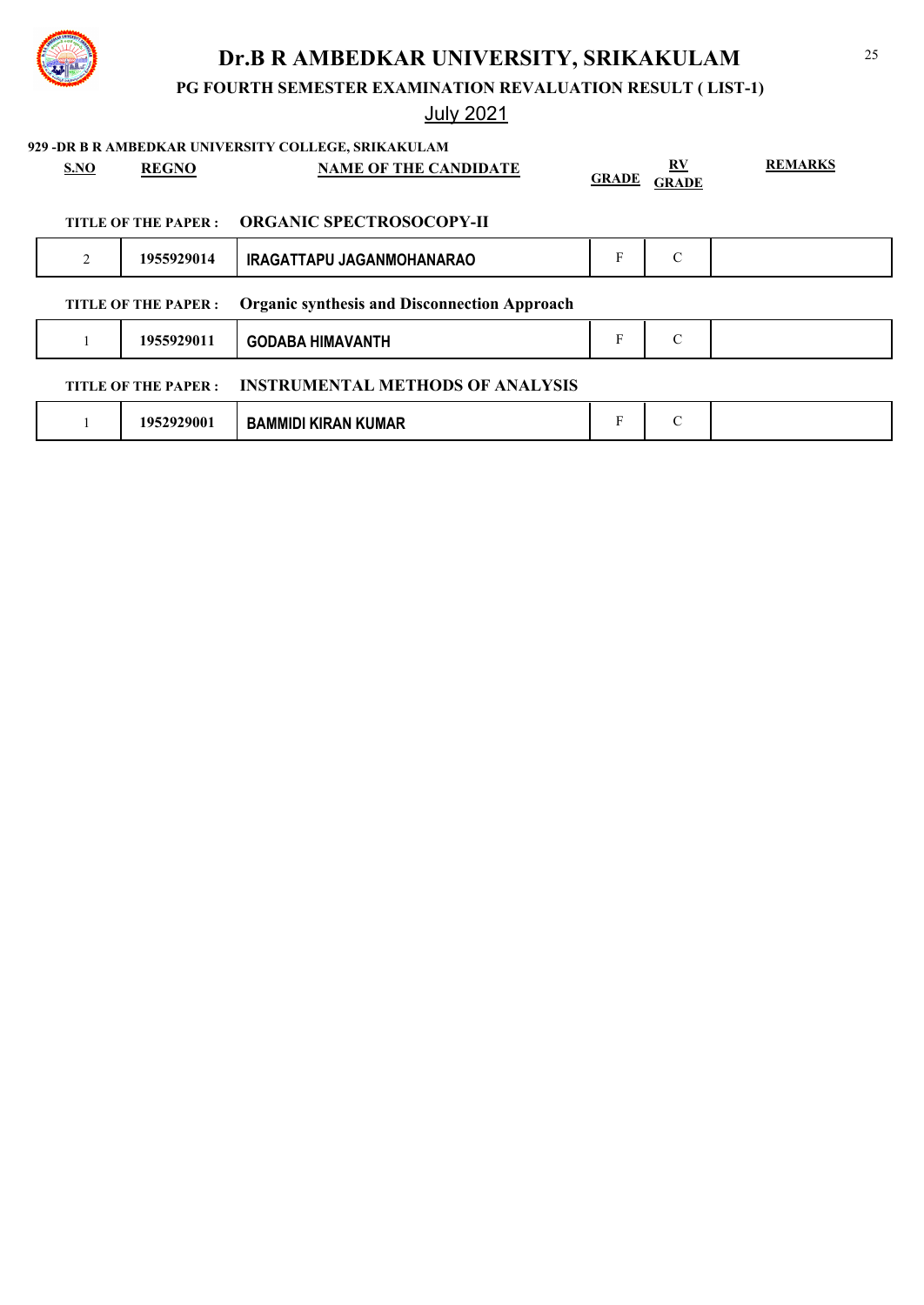

## **PG FOURTH SEMESTER EXAMINATION REVALUATION RESULT ( LIST-1)**

| S.NO           | <b>REGNO</b>               | 929 - DR B R AMBEDKAR UNIVERSITY COLLEGE, SRIKAKULAM<br><b>NAME OF THE CANDIDATE</b> | <b>GRADE</b> | RV<br><b>GRADE</b> | <b>REMARKS</b> |
|----------------|----------------------------|--------------------------------------------------------------------------------------|--------------|--------------------|----------------|
|                | TITLE OF THE PAPER :       | <b>ORGANIC SPECTROSOCOPY-II</b>                                                      |              |                    |                |
| $\overline{2}$ | 1955929014                 | IRAGATTAPU JAGANMOHANARAO                                                            | F            | $\mathcal{C}$      |                |
|                | TITLE OF THE PAPER :       | <b>Organic synthesis and Disconnection Approach</b>                                  |              |                    |                |
|                | 1955929011                 | <b>GODABA HIMAVANTH</b>                                                              | F            | $\mathcal{C}$      |                |
|                | <b>TITLE OF THE PAPER:</b> | <b>INSTRUMENTAL METHODS OF ANALYSIS</b>                                              |              |                    |                |
|                | 1952929001                 | <b>BAMMIDI KIRAN KUMAR</b>                                                           | F            | $\mathcal{C}$      |                |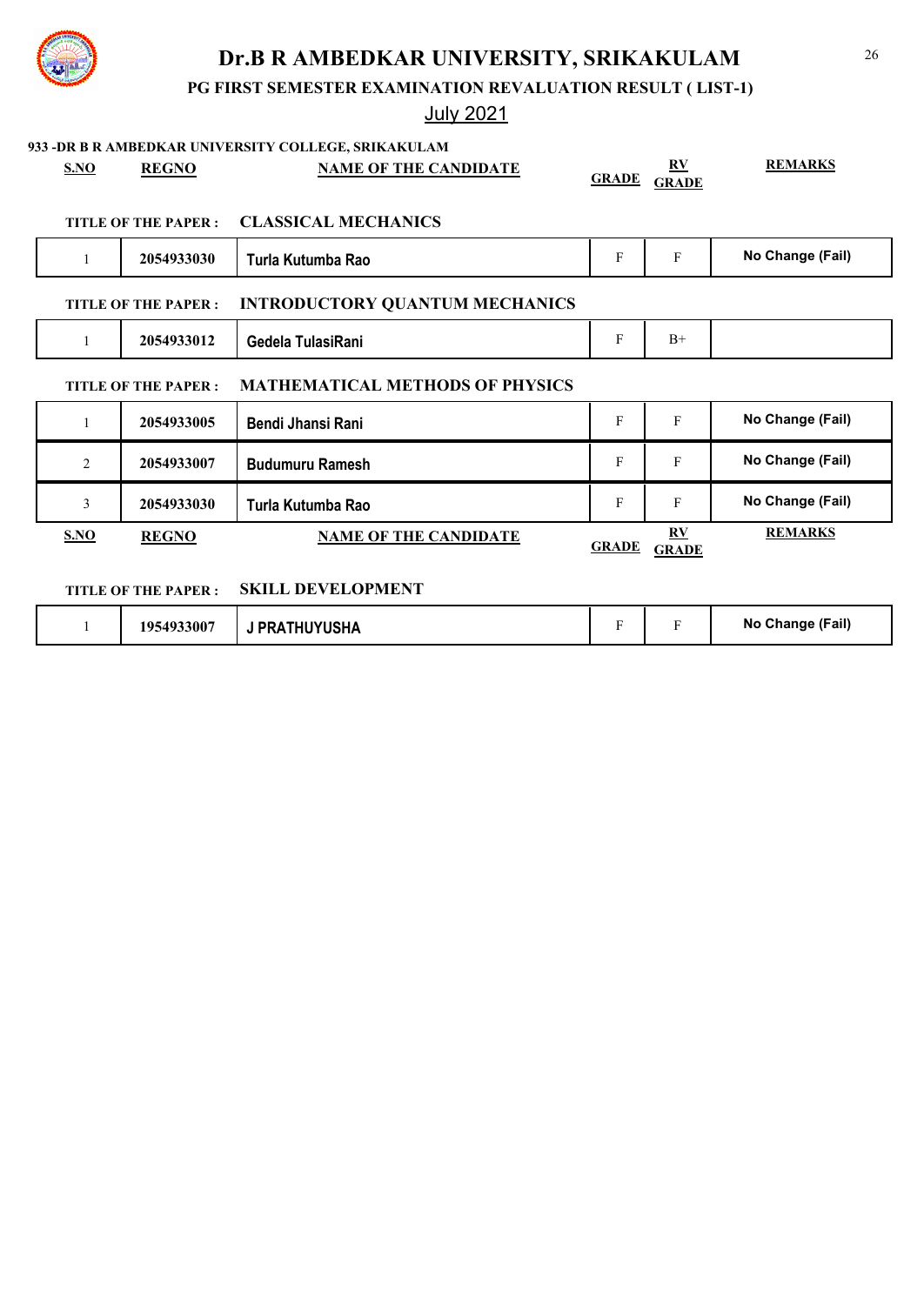

## **PG FIRST SEMESTER EXAMINATION REVALUATION RESULT ( LIST-1)**

|                |                      | 933 - DR B R AMBEDKAR UNIVERSITY COLLEGE, SRIKAKULAM |              |                           |                  |
|----------------|----------------------|------------------------------------------------------|--------------|---------------------------|------------------|
| S.NO           | <b>REGNO</b>         | <b>NAME OF THE CANDIDATE</b>                         | <b>GRADE</b> | $\bf{RV}$<br><b>GRADE</b> | <b>REMARKS</b>   |
|                |                      |                                                      |              |                           |                  |
|                | TITLE OF THE PAPER : | <b>CLASSICAL MECHANICS</b>                           |              |                           |                  |
| 1              | 2054933030           | Turla Kutumba Rao                                    | F            | $\mathbf{F}$              | No Change (Fail) |
|                | TITLE OF THE PAPER : | <b>INTRODUCTORY QUANTUM MECHANICS</b>                |              |                           |                  |
| 1              | 2054933012           | Gedela TulasiRani                                    | F            | $B+$                      |                  |
|                | TITLE OF THE PAPER : | <b>MATHEMATICAL METHODS OF PHYSICS</b>               |              |                           |                  |
| 1              | 2054933005           | <b>Bendi Jhansi Rani</b>                             | F            | F                         | No Change (Fail) |
| $\overline{2}$ | 2054933007           | <b>Budumuru Ramesh</b>                               | F            | $\mathbf{F}$              | No Change (Fail) |
| 3              | 2054933030           | Turla Kutumba Rao                                    | F            | $\mathbf{F}$              | No Change (Fail) |
| S.NO           | <b>REGNO</b>         | <b>NAME OF THE CANDIDATE</b>                         | <b>GRADE</b> | RV<br><b>GRADE</b>        | <b>REMARKS</b>   |
|                | TITLE OF THE PAPER : | <b>SKILL DEVELOPMENT</b>                             |              |                           |                  |

| 54933007<br><b>PRATHUYUSHA</b><br>105. |  | No Change (Fail) |
|----------------------------------------|--|------------------|
|----------------------------------------|--|------------------|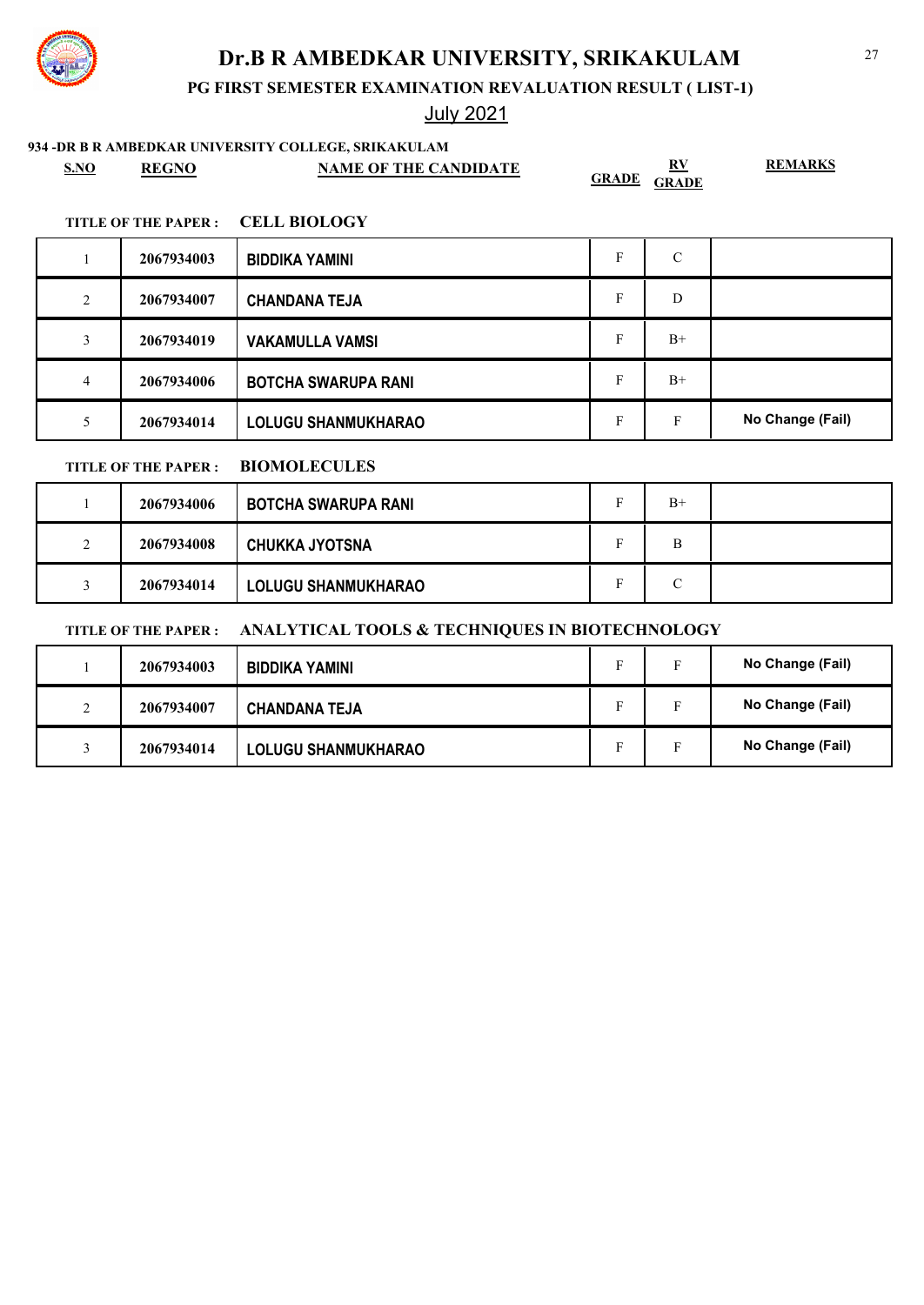

# July 2021

### **934 -DR B R AMBEDKAR UNIVERSITY COLLEGE, SRIKAKULAM**

| SNO | <b>REGNO</b> | <b>NAME OF THE CANDIDATE</b> | DV<br>$\mathbf{r}$<br><b>GRADE</b><br><b>GRADE</b> | <b>REMARKS</b> |
|-----|--------------|------------------------------|----------------------------------------------------|----------------|
|-----|--------------|------------------------------|----------------------------------------------------|----------------|

### **TITLE OF THE PAPER : CELL BIOLOGY**

|   | 2067934003 | <b>BIDDIKA YAMINI</b>      | C    |                  |
|---|------------|----------------------------|------|------------------|
| 2 | 2067934007 | <b>CHANDANA TEJA</b>       | D    |                  |
| 3 | 2067934019 | <b>VAKAMULLA VAMSI</b>     | $B+$ |                  |
| 4 | 2067934006 | <b>BOTCHA SWARUPA RANI</b> | $B+$ |                  |
|   | 2067934014 | <b>LOLUGU SHANMUKHARAO</b> | F    | No Change (Fail) |

### **TITLE OF THE PAPER : BIOMOLECULES**

|          | 2067934006 | BOTCHA SWARUPA RANI        |   | $B+$   |  |
|----------|------------|----------------------------|---|--------|--|
| $\gamma$ | 2067934008 | CHUKKA JYOTSNA             | - | B      |  |
|          | 2067934014 | <b>LOLUGU SHANMUKHARAO</b> | - | ⌒<br>◡ |  |

### **TITLE OF THE PAPER : ANALYTICAL TOOLS & TECHNIQUES IN BIOTECHNOLOGY**

|        | 2067934003 | BIDDIKA YAMINI             |   |    | No Change (Fail) |
|--------|------------|----------------------------|---|----|------------------|
| $\sim$ | 2067934007 | <b>CHANDANA TEJA</b>       | Е |    | No Change (Fail) |
|        | 2067934014 | <b>LOLUGU SHANMUKHARAO</b> |   | E. | No Change (Fail) |